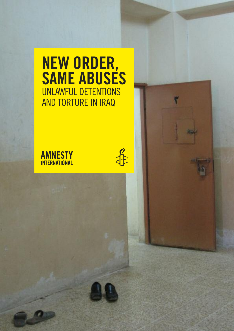# **NEW ORDER, SAME ABUSES** UNLAWFUL DETENTIONS AnD tortUrE In IrAq



 $\frac{1}{\sqrt{1}}$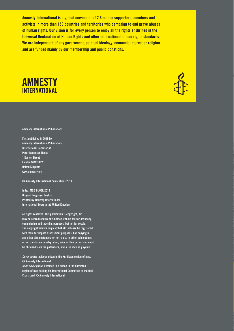**Amnesty international is a global movement of 2.8 million supporters, members and activists in more than 150 countries and territories who campaign to end grave abuses of human rights. Our vision is for every person to enjoy all the rights enshrined in the Universal Declaration of Human Rights and other international human rights standards. We are independent of any government, political ideology, economic interest or religion and are funded mainly by our membership and public donations.**





**Amnesty international Publications**

**first published in 2010 by Amnesty international Publications international Secretariat Peter Benenson House 1 Easton Street london WC1X 0DW United Kingdom www.amnesty.org**

**© Amnesty international Publications 2010**

**index: MDE 14/006/2010 Original language: English Printed by Amnesty international, international Secretariat, United Kingdom**

**All rights reserved. this publication is copyright, but may be reproduced by any method without fee for advocacy, campaigning and teaching purposes, but not for resale. the copyright holders request that all such use be registered with them for impact assessment purposes. for copying in any other circumstances, or for re-use in other publications, or for translation or adaptation, prior written permission must be obtained from the publishers, and a fee may be payable.**

**Cover photo: inside a prison in the Kurdistan region of iraq. © Amnesty international Back cover photo: Detainee in a prison in the Kurdistan region of iraq holding his international Committee of the Red Cross card. © Amnesty international**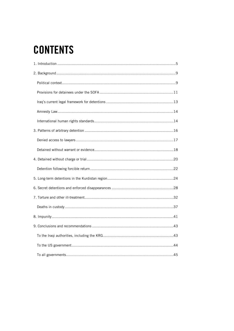# **CONTENTS**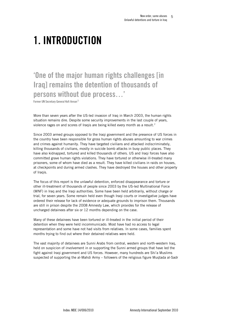# <span id="page-4-0"></span>1. INTRODUCTION

# 'One of the major human rights challenges [in Iraq] remains the detention of thousands of persons without due process…'

Former UN Secretary General Kofi Annan<sup>1</sup>

More than seven years after the US-led invasion of Iraq in March 2003, the human rights situation remains dire. Despite some security improvements in the last couple of years, violence rages on and scores of Iraqis are being killed every month as a result.<sup>2</sup>

Since 2003 armed groups opposed to the Iraqi government and the presence of US forces in the country have been responsible for gross human rights abuses amounting to war crimes and crimes against humanity. They have targeted civilians and attacked indiscriminately, killing thousands of civilians, mostly in suicide bomb attacks in busy public places. They have also kidnapped, tortured and killed thousands of others. US and Iraqi forces have also committed grave human rights violations. They have tortured or otherwise ill-treated many prisoners, some of whom have died as a result. They have killed civilians in raids on houses, at checkpoints and during armed clashes. They have destroyed the houses and other property of Iraqis.

The focus of this report is the unlawful detention, enforced disappearance and torture or other ill-treatment of thousands of people since 2003 by the US-led Multinational Force (MNF) in Iraq and the Iraqi authorities. Some have been held arbitrarily, without charge or trial, for seven years. Some remain held even though Iraqi courts or investigative judges have ordered their release for lack of evidence or adequate grounds to imprison them. Thousands are still in prison despite the 2008 Amnesty Law, which provides for the release of uncharged detainees after six or 12 months depending on the case.

Many of these detainees have been tortured or ill-treated in the initial period of their detention when they were held incommunicado. Most have had no access to legal representation and some have not had visits from relatives. In some cases, families spent months trying to find out where their detained relatives were held.

The vast majority of detainees are Sunni Arabs from central, western and north-western Iraq, held on suspicion of involvement in or supporting the Sunni armed groups that have led the fight against Iraqi government and US forces. However, many hundreds are Shi'a Muslims suspected of supporting the al-Mahdi Army – followers of the religious figure Muqtada al-Sadr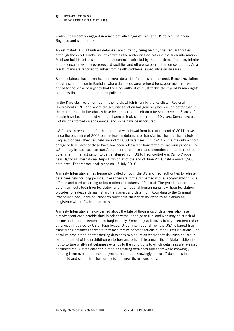#### New order, same abuses Unlawful detentions and torture in Iraq 6

– who until recently engaged in armed activities against Iraqi and US forces, mainly in Baghdad and southern Iraq.

An estimated 30,000 untried detainees are currently being held by the Iraqi authorities, although the exact number is not known as the authorities do not disclose such information. Most are held in prisons and detention centres controlled by the ministries of justice, interior and defence in severely overcrowded facilities and otherwise poor detention conditions. As a result, many are reported to suffer from health problems, especially skin diseases.

Some detainees have been held in secret detention facilities and tortured. Recent revelations about a secret prison in Baghdad where detainees were tortured for several months have added to the sense of urgency that the Iraqi authorities must tackle the myriad human rights problems linked to their detention policies.

In the Kurdistan region of Iraq, in the north, which is run by the Kurdistan Regional Government (KRG) and where the security situation has generally been much better than in the rest of Iraq, similar abuses have been reported, albeit on a far smaller scale. Scores of people have been detained without charge or trial, some for up to 10 years. Some have been victims of enforced disappearance, and some have been tortured.

US forces, in preparation for their planned withdrawal from Iraq at the end of 2011, have since the beginning of 2009 been releasing detainees or transferring them to the custody of Iraqi authorities. They had held around 23,000 detainees in mid-2007, the majority without charge or trial. Most of these have now been released or transferred to Iraqi-run prisons. The US military in Iraq has also transferred control of prisons and detention centres to the Iraqi government. The last prison to be transferred from US to Iraqi control was Camp Cropper near Baghdad International Airport, which at of the end of June 2010 held around 1,900 detainees. The transfer took place on 15 July 2010.

Amnesty International has frequently called on both the US and Iraqi authorities to release detainees held for long periods unless they are formally charged with a recognizably criminal offence and tried according to international standards of fair trial. The practice of arbitrary detention flouts both Iraqi legislation and international human rights law. Iraqi legislation provides for safeguards against arbitrary arrest and detention. According to the Criminal Procedure Code, $3$  criminal suspects must have their case reviewed by an examining magistrate within 24 hours of arrest.

Amnesty International is concerned about the fate of thousands of detainees who have already spent considerable time in prison without charge or trial and who may be at risk of torture and other ill-treatment in Iraqi custody. Some may well have already been tortured or otherwise ill-treated by US or Iraqi forces. Under international law, the USA is barred from transferring detainees to where they face torture or other serious human rights violations. The absolute prohibition on transferring detainees to a situation where they risk such abuses is part and parcel of the prohibition on torture and other ill-treatment itself. States' obligation not to torture or ill-treat detainees extends to the conditions to which detainees are released or transferred. A state cannot claim to be treating detainees humanely while knowingly handing them over to torturers, anymore than it can knowingly "release" detainees in a minefield and claim that their safety is no longer its responsibility.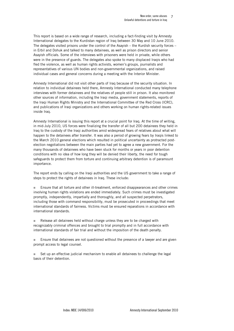This report is based on a wide range of research, including a fact-finding visit by Amnesty International delegates to the Kurdistan region of Iraq between 30 May and 10 June 2010. The delegates visited prisons under the control of the Asayish  $-$  the Kurdish security forces  $$ in Erbil and Dohuk and talked to many detainees, as well as prison directors and senior Asayish officials. Some of the interviews with prisoners were held in private, while others were in the presence of guards. The delegates also spoke to many displaced Iraqis who had fled the violence, as well as human rights activists, women's groups, journalists and representatives of various UN bodies and non-governmental organizations, and raised individual cases and general concerns during a meeting with the Interior Minister.

Amnesty International did not visit other parts of Iraq because of the security situation. In relation to individual detainees held there, Amnesty International conducted many telephone interviews with former detainees and the relatives of people still in prison. It also monitored other sources of information, including the Iraqi media, government statements, reports of the Iraqi Human Rights Ministry and the International Committee of the Red Cross (ICRC), and publications of Iraqi organizations and others working on human rights-related issues inside Iraq.

Amnesty International is issuing this report at a crucial point for Iraq. At the time of writing, in mid-July 2010, US forces were finalizing the transfer of all but 200 detainees they held in Iraq to the custody of the Iraqi authorities amid widespread fears of relatives about what will happen to the detainees after transfer. It was also a period of growing fears by Iraqis linked to the March 2010 general elections which resulted in political uncertainty as protracted postelection negotiations between the main parties had yet to agree a new government. For the many thousands of detainees who have been stuck for months or years in poor detention conditions with no idea of how long they will be denied their liberty, the need for tough safeguards to protect them from torture and continuing arbitrary detention is of paramount importance.

The report ends by calling on the Iraqi authorities and the US government to take a range of steps to protect the rights of detainees in Iraq. These include:

 Ensure that all torture and other ill-treatment, enforced disappearances and other crimes involving human rights violations are ended immediately. Such crimes must be investigated promptly, independently, impartially and thoroughly, and all suspected perpetrators, including those with command responsibility, must be prosecuted in proceedings that meet international standards of fairness. Victims must be ensured reparations in accordance with international standards.

 Release all detainees held without charge unless they are to be charged with recognizably criminal offences and brought to trial promptly and in full accordance with international standards of fair trial and without the imposition of the death penalty.

 $\blacksquare$  Ensure that detainees are not questioned without the presence of a lawyer and are given prompt access to legal counsel.

 Set up an effective judicial mechanism to enable all detainees to challenge the legal basis of their detention.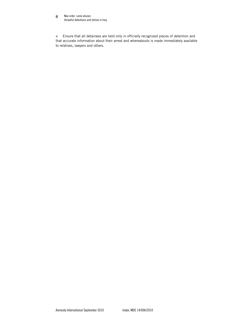#### New order, same abuses Unlawful detentions and torture in Iraq 8

 Ensure that all detainees are held only in officially recognized places of detention and that accurate information about their arrest and whereabouts is made immediately available to relatives, lawyers and others.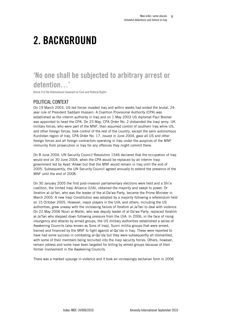# <span id="page-8-0"></span>2. BACKGROUND

# 'No one shall be subjected to arbitrary arrest or detention…'

Article 9 of the International Covenant on Civil and Political Rights

# POLITICAL CONTEXT

On 19 March 2003, US-led forces invaded Iraq and within weeks had ended the brutal, 24 year rule of President Saddam Hussain. A Coalition Provisional Authority (CPA) was established as the interim authority in Iraq and on 1 May 2003 US diplomat Paul Bremer was appointed to head the CPA. On 23 May, CPA Order No. 2 disbanded the Iraqi army. UK military forces, who were part of the MNF, then assumed control of southern Iraq while US, and other foreign forces, took control of the rest of the country, except the semi autonomous Kurdistan region of Iraq. CPA Order No. 17, issued in June 2004, gave all US and other foreign forces and all foreign contractors operating in Iraq under the auspices of the MNF immunity from prosecution in Iraq for any offences they might commit there.

On 8 June 2004, UN Security Council Resolution 1546 declared that the occupation of Iraq would end on 30 June 2004, when the CPA would be replaced by an interim Iraqi government led by Ayad 'Allawi but that the MNF would remain in Iraq until the end of 2005. Subsequently, the UN Security Council agreed annually to extend the presence of the MNF until the end of 2008.

On 30 January 2005 the first post-invasion parliamentary elections were held and a Shi'a coalition, the United Iraqi Alliance (UIA), obtained the majority and swept to power. Dr Ibrahim al-Ja'fari, who was the leader of the al-Da'wa Party, became the Prime Minister in March 2005. A new Iraqi Constitution was adopted by a majority following a referendum held on 15 October 2005. However, major players in the UIA, and others, including the US authorities, grew uneasy with the increasing failure of Ibrahim al-Ja'fari to deal with violence. On 22 May 2006 Nouri al-Maliki, who was deputy leader of al-Da'wa Party, replaced Ibrahim al-Ja'fari who stepped down following pressure from the UIA. In 2006, in the face of rising insurgency and attacks by armed groups, the US military authorities established a series of Awakening Councils (also known as Sons of Iraq), Sunni militia groups that were armed, trained and financed by the MNF to fight against al-Qa'ida in Iraq. These were reported to have had some success in combating al-Qa'ida but they were subsequently all dismantled, with some of their members being recruited into the Iraqi security forces. Others, however, remain jobless and some have been targeted for killing by armed groups because of their former involvement in the Awakening Councils.

There was a marked upsurge in violence and it took an increasingly sectarian form in 2006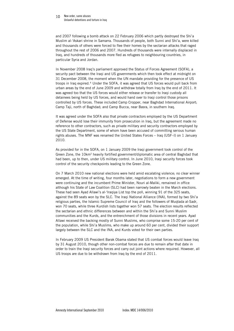#### 10 New order, same abuses Unlawful detentions and torture in Iraq

and 2007 following a bomb attack on 22 February 2006 which partly destroyed the Shi'a Muslim al-'Askari shrine in Samarra. Thousands of people, both Sunni and Shi'a, were killed and thousands of others were forced to flee their homes by the sectarian attacks that raged throughout the rest of 2006 and 2007. Hundreds of thousands were internally displaced in Iraq, and hundreds of thousands more fled as refugees to neighbouring countries, in particular Syria and Jordan.

In November 2008 Iraq's parliament approved the Status of Forces Agreement (SOFA), a security pact between the Iraqi and US governments which then took effect at midnight on 31 December 2008, the moment when the UN mandate providing for the presence of US troops in Iraq expired.4 Under the SOFA, it was agreed that US forces would pull back from urban areas by the end of June 2009 and withdraw totally from Iraq by the end of 2011. It was agreed too that the US forces would either release or transfer to Iraqi custody all detainees being held by US forces, and would hand over to Iraqi control those prisons controlled by US forces. These included Camp Cropper, near Baghdad International Airport; Camp Taji, north of Baghdad; and Camp Bucca, near Basra, in southern Iraq.

It was agreed under the SOFA also that private contractors employed by the US Department of Defense would lose their immunity from prosecution in Iraq, but the agreement made no reference to other contractors, such as private military and security contractors employed by the US State Department, some of whom have been accused of committing serious human rights abuses. The MNF was renamed the United States Forces – Iraq (USF–I) on 1 January 2010.

As provided for in the SOFA, on 1 January 2009 the Iraqi government took control of the Green Zone, the 10km2 heavily fortified government/diplomatic area of central Baghdad that had been, up to then, under US military control. In June 2010, Iraqi security forces took control of the security checkpoints leading to the Green Zone.

On 7 March 2010 new national elections were held amid escalating violence; no clear winner emerged. At the time of writing, four months later, negotiations to form a new government were continuing and the incumbent Prime Minister, Nouri al-Maliki, remained in office although his State of Law Coalition (SLC) had been narrowly beaten in the March elections. These had seen Ayad Allawi's al-'Iraqiya List top the poll, winning 91 of the 325 seats, against the 89 seats won by the SLC. The Iraqi National Alliance (INA), formed by two Shi'a religious parties, the Islamic Supreme Council of Iraq and the followers of Muqtada al-Sadr, won 70 seats, while three Kurdish lists together won 57 seats. The election results reflected the sectarian and ethnic differences between and within the Shi'a and Sunni Muslim communities and the Kurds, and the entrenchment of those divisions in recent years. Ayad Allawi received the backing mostly of Sunni Muslims, who comprise some 15-20 per cent of the population, while Shi'a Muslims, who make up around 60 per cent, divided their support largely between the SLC and the INA, and Kurds voted for their own parties.

In February 2009 US President Barak Obama stated that US combat forces would leave Iraq by 31 August 2010, though other non-combat forces are due to remain after that date in order to train the Iraqi security forces and carry out joint actions where required. However, all US troops are due to be withdrawn from Iraq by the end of 2011.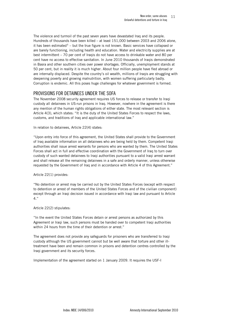<span id="page-10-0"></span>The violence and turmoil of the past seven years have devastated Iraq and its people. Hundreds of thousands have been killed – at least 151,000 between 2003 and 2006 alone, it has been estimated<sup>5</sup> – but the true figure is not known. Basic services have collapsed or are barely functioning, including health and education. Water and electricity supplies are at best intermittent – 70 per cent of Iraqis do not have access to drinkable water and 80 per cent have no access to effective sanitation. In June 2010 thousands of Iraqis demonstrated in Basra and other southern cities over power shortages. Officially, unemployment stands at 50 per cent, but in reality it is much higher. About four million people have fled abroad or are internally displaced. Despite the country's oil wealth, millions of Iraqis are struggling with deepening poverty and growing malnutrition, with women suffering particularly badly. Corruption is endemic. All this poses huge challenges for whatever government is formed.

# PROVISIONS FOR DETAINEES UNDER THE SOFA

The November 2008 security agreement requires US forces to release or transfer to Iraqi custody all detainees in US-run prisons in Iraq. However, nowhere in the agreement is there any mention of the human rights obligations of either state. The most relevant section is Article 4(3), which states: "It is the duty of the United States Forces to respect the laws, customs, and traditions of Iraq and applicable international law."

In relation to detainees, Article 22(4) states:

"Upon entry into force of this agreement, the United States shall provide to the Government of Iraq available information on all detainees who are being held by them. Competent Iraqi authorities shall issue arrest warrants for persons who are wanted by them. The United States Forces shall act in full and effective coordination with the Government of Iraq to turn over custody of such wanted detainees to Iraqi authorities pursuant to a valid Iraqi arrest warrant and shall release all the remaining detainees in a safe and orderly manner, unless otherwise requested by the Government of Iraq and in accordance with Article 4 of this Agreement."

Article 22(1) provides:

"No detention or arrest may be carried out by the United States Forces (except with respect to detention or arrest of members of the United States Forces and of the civilian component) except through an Iraqi decision issued in accordance with Iraqi law and pursuant to Article 4."

Article 22(2) stipulates:

"In the event the United States Forces detain or arrest persons as authorized by this Agreement or Iraqi law, such persons must be handed over to competent Iraqi authorities within 24 hours from the time of their detention or arrest."

The agreement does not provide any safeguards for prisoners who are transferred to Iraqi custody although the US government cannot but be well aware that torture and other illtreatment have been and remain common in prisons and detention centres controlled by the Iraqi government and its security forces.

Implementation of the agreement started on 1 January 2009. It requires the USF-I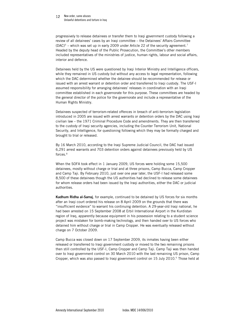#### 12 New order, same abuses Unlawful detentions and torture in Iraq

progressively to release detainees or transfer them to Iraqi government custody following a review of all detainees' cases by an Iraqi committee – the Detainees' Affairs Committee  $(DAC)^6$  – which was set up in early 2009 under Article 22 of the security agreement.<sup>7</sup> Headed by the deputy head of the Public Prosecution, the Committee's other members included representatives of the ministries of justice, human rights, labour and social affairs, interior and defence.

Detainees held by the US were questioned by Iraqi Interior Ministry and Intelligence officers, while they remained in US custody but without any access to legal representation, following which the DAC determined whether the detainee should be recommended for release or issued with an arrest warrant or detention order and transferred to Iraqi custody. The USF-I assumed responsibility for arranging detainees' releases in coordination with an Iraqi committee established in each governorate for this purpose. These committees are headed by the general director of the police for the governorate and include a representative of the Human Rights Ministry.

Detainees suspected of terrorism-related offences in breach of anti-terrorism legislation introduced in 2005 are issued with arrest warrants or detention orders by the DAC using Iraqi civilian law – the 1971 Criminal Procedure Code and amendments. They are then transferred to the custody of Iraqi security agencies, including the Counter Terrorism Unit, National Security, and Intelligence, for questioning following which they may be formally charged and brought to trial or released.

By 16 March 2010, according to the Iraqi Supreme Judicial Council, the DAC had issued 6,291 arrest warrants and 703 detention orders against detainees previously held by US forces.<sup>8</sup>

When the SOFA took effect in 1 January 2009, US forces were holding some 15,500 detainees, mostly without charge or trial and at three prisons, Camp Bucca, Camp Cropper and Camp Taji. By February 2010, just over one year later, the USF-I had released some 8,500 of these detainees though the US authorities had declined to release some detainees for whom release orders had been issued by the Iraqi authorities, either the DAC or judicial authorities.

Kadhum Ridha al-Sarraj, for example, continued to be detained by US forces for six months after an Iraqi court ordered his release on 8 April 2009 on the grounds that there was "insufficient evidence" to warrant his continuing detention. A 29-year-old Iraqi national, he had been arrested on 15 September 2008 at Erbil International Airport in the Kurdistan region of Iraq, apparently because equipment in his possession relating to a student science project was mistaken for bomb-making technology, and then handed over to US forces who detained him without charge or trial in Camp Cropper. He was eventually released without charge on 7 October 2009.

Camp Bucca was closed down on 17 September 2009, its inmates having been either released or transferred to Iraqi government custody or moved to the two remaining prisons then still controlled by the USF-I, Camp Cropper and Camp Taji. Camp Taji was then handed over to Iraqi government control on 30 March 2010 with the last remaining US prison, Camp Cropper, which was also passed to Iraqi government control on 15 July 2010.<sup>9</sup> Those held at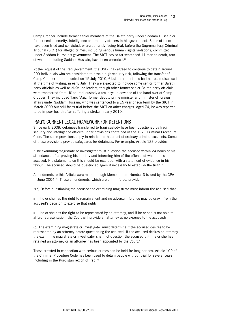<span id="page-12-0"></span>Camp Cropper include former senior members of the Ba'ath party under Saddam Hussain or former senior security, intelligence and military officers in his government. Some of them have been tried and convicted, or are currently facing trial, before the Supreme Iraqi Criminal Tribunal (SICT) for alleged crimes, including serious human rights violations, committed under Saddam Hussain's government. The SICT has so far sentenced 11 men to death, four of whom, including Saddam Hussain, have been executed.<sup>10</sup>

At the request of the Iraqi government, the USF-I has agreed to continue to detain around 200 individuals who are considered to pose a high security risk, following the transfer of Camp Cropper to Iraqi control on  $15$  July  $2010$ ,<sup> $11$ </sup> but their identities had not been disclosed at the time of writing, in early July. They are expected to include some senior former Ba'ath party officials as well as al-Qa'ida leaders, though other former senior Ba'ath party officials were transferred from US to Iraqi custody a few days in advance of the hand over of Camp Cropper. They included Tariq 'Aziz, former deputy prime minister and minister of foreign affairs under Saddam Hussain, who was sentenced to a 15 year prison term by the SICT in March 2009 but still faces trial before the SICT on other charges. Aged 74, he was reported to be in poor health after suffering a stroke in early 2010.

# IRAQ'S CURRENT LEGAL FRAMEWORK FOR DETENTIONS

Since early 2009, detainees transferred to Iraqi custody have been questioned by Iraqi security and intelligence officers under provisions contained in the 1971 Criminal Procedure Code. The same provisions apply in relation to the arrest of ordinary criminal suspects. Some of these provisions provide safeguards for detainees. For example, Article 123 provides:

"The examining magistrate or investigator must question the accused within 24 hours of his attendance, after proving his identity and informing him of the offence of which he is accused. His statements on this should be recorded, with a statement of evidence in his favour. The accused should be questioned again if necessary to establish the truth."

Amendments to this Article were made through Memorandum Number 3 issued by the CPA in June 2004.<sup>12</sup> These amendments, which are still in force, provide:

"(b) Before questioning the accused the examining magistrate must inform the accused that:

**he or she has the right to remain silent and no adverse inference may be drawn from the** accused's decision to exercise that right;

 he or she has the right to be represented by an attorney, and if he or she is not able to afford representation, the Court will provide an attorney at no expense to the accused;

(c) The examining magistrate or investigator must determine if the accused desires to be represented by an attorney before questioning the accused. If the accused desires an attorney the examining magistrate or investigator shall not question the accused until he or she has retained an attorney or an attorney has been appointed by the Court."

Those arrested in connection with serious crimes can be held for long periods. Article 109 of the Criminal Procedure Code has been used to detain people without trial for several years, including in the Kurdistan region of Iraq.<sup>13</sup>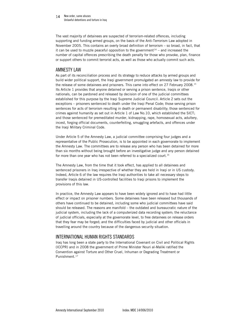<span id="page-13-0"></span>14 New order, same abuses Unlawful detentions and torture in Iraq

The vast majority of detainees are suspected of terrorism-related offences, including supporting and funding armed groups, on the basis of the Anti-Terrorism Law adopted in November 2005. This contains an overly broad definition of terrorism – so broad, in fact, that it can be used to muzzle peaceful opposition to the government<sup>14</sup> – and increased the number of capital offences prescribing the death penalty for those who provoke, plan, finance or support others to commit terrorist acts, as well as those who actually commit such acts.

## AMNESTY LAW

As part of its reconciliation process and its strategy to reduce attacks by armed groups and build wider political support, the Iraqi government promulgated an amnesty law to provide for the release of some detainees and prisoners. This came into effect on 27 February 2008.<sup>15</sup> Its Article 1 provides that anyone detained or serving a prison sentence, Iraqis or other nationals, can be pardoned and released by decision of one of the judicial committees established for this purpose by the Iraqi Supreme Judicial Council. Article 2 sets out the exceptions – prisoners sentenced to death under the Iraqi Penal Code; those serving prison sentences for acts of terrorism resulting in death or permanent disability; those sentenced for crimes against humanity as set out in Article 1 of Law No.10, which established the SICT; and those sentenced for premeditated murder, kidnapping, rape, homosexual acts, adultery, incest, forging official documents, counterfeiting, smuggling artefacts, and offences under the Iraqi Military Criminal Code.

Under Article 5 of the Amnesty Law, a judicial committee comprising four judges and a representative of the Public Prosecution, is to be appointed in each governorate to implement the Amnesty Law. The committees are to release any person who has been detained for more than six months without being brought before an investigative judge and any person detained for more than one year who has not been referred to a specialized court.<sup>16</sup>

The Amnesty Law, from the time that it took effect, has applied to all detainees and sentenced prisoners in Iraq irrespective of whether they are held in Iraqi or in US custody. Indeed, Article 6 of the law requires the Iraqi authorities to take all necessary steps to transfer Iraqis detained in US-controlled facilities to Iraqi prisons to implement the provisions of this law.

In practice, the Amnesty Law appears to have been widely ignored and to have had little effect or impact on prisoner numbers. Some detainees have been released but thousands of others have continued to be detained, including some who judicial committees have said should be released. The reasons are manifold – the outdated and bureaucratic nature of the judicial system, including the lack of a computerized data recording system; the reluctance of judicial officials, especially at the governorate level, to free detainees on release orders that they fear may be forged; and the difficulties faced by judicial and other officials in travelling around the country because of the dangerous security situation.

# INTERNATIONAL HUMAN RIGHTS STANDARDS

Iraq has long been a state party to the International Covenant on Civil and Political Rights (ICCPR) and in 2008 the government of Prime Minister Nouri al-Maliki ratified the Convention against Torture and Other Cruel, Inhuman or Degrading Treatment or Punishment.<sup>17</sup>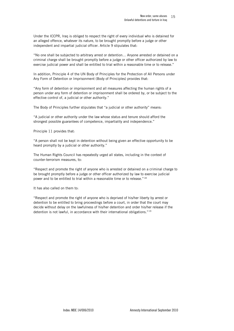Under the ICCPR, Iraq is obliged to respect the right of every individual who is detained for an alleged offence, whatever its nature, to be brought promptly before a judge or other independent and impartial judicial officer. Article 9 stipulates that:

"No one shall be subjected to arbitrary arrest or detention… Anyone arrested or detained on a criminal charge shall be brought promptly before a judge or other officer authorized by law to exercise judicial power and shall be entitled to trial within a reasonable time or to release."

In addition, Principle 4 of the UN Body of Principles for the Protection of All Persons under Any Form of Detention or Imprisonment (Body of Principles) provides that:

"Any form of detention or imprisonment and all measures affecting the human rights of a person under any form of detention or imprisonment shall be ordered by, or be subject to the effective control of, a judicial or other authority."

The Body of Principles further stipulates that "a judicial or other authority" means:

"A judicial or other authority under the law whose status and tenure should afford the strongest possible guarantees of competence, impartiality and independence."

Principle 11 provides that:

"A person shall not be kept in detention without being given an effective opportunity to be heard promptly by a judicial or other authority."

The Human Rights Council has repeatedly urged all states, including in the context of counter-terrorism measures, to:

"Respect and promote the right of anyone who is arrested or detained on a criminal charge to be brought promptly before a judge or other officer authorized by law to exercise judicial power and to be entitled to trial within a reasonable time or to release."18

It has also called on them to:

"Respect and promote the right of anyone who is deprived of his/her liberty by arrest or detention to be entitled to bring proceedings before a court, in order that the court may decide without delay on the lawfulness of his/her detention and order his/her release if the detention is not lawful, in accordance with their international obligations."19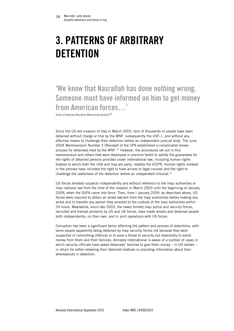# <span id="page-15-0"></span>3. PATTERNS OF ARBITRARY **DETENTION**

'We know that Nasrallah has done nothing wrong. Someone must have informed on him to get money from American forces…'

Sister of detainee Nasrallah Mohammad Ibrahim<sup>20</sup>

Since the US-led invasion of Iraq in March 2003, tens of thousands of people have been detained without charge or trial by the MNF, subsequently the USF-1, and without any effective means to challenge their detention before an independent judicial body. The June 2004 Memorandum Number 3 (Revised) of the CPA established a complicated review process for detainees held by the MNF.<sup>21</sup> However, the procedures set out in this memorandum and others that were developed in practice failed to satisfy the guarantees for the rights of detained persons provided under international law, including human rights treaties to which both the USA and Iraq are party, notably the ICCPR. Human rights violated in the process have included the right to have access to legal counsel and the right to challenge the lawfulness of the detention before an independent tribunal.<sup>22</sup>

US forces arrested suspects independently and without reference to the Iraqi authorities or Iraqi national law from the time of the invasion in March 2003 until the beginning of January 2009, when the SOFA came into force. Then, from I January 2009, as described above, US forces were required to obtain an arrest warrant from the Iraqi authorities before making any arrest and to transfer any person they arrested to the custody of the Iraqi authorities within 24 hours. Meanwhile, since late 2003, the newly formed Iraqi police and security forces, recruited and trained primarily by US and UK forces, have made arrests and detained people both independently, on their own, and in joint operations with US forces.

Corruption has been a significant factor affecting the pattern and process of detentions, with some people apparently being detained by Iraqi security forces not because they were suspected of committing offences or to pose a threat to security but essentially to extort money from them and their families. Amnesty International is aware of a number of cases in which security officials have asked detainees' families to give them money – in US dollars – in return for either releasing their detained relatives or providing information about their whereabouts in detention.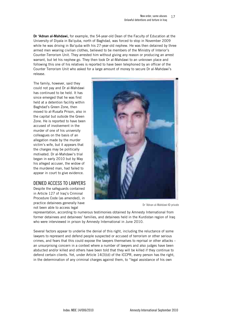<span id="page-16-0"></span>Dr 'Adnan al-Mahdawi, for example, the 54-year-old Dean of the Faculty of Education at the University of Diyala in Ba'quba, north of Baghdad, was forced to stop in November 2009 while he was driving in Ba'quba with his 27-year-old nephew. He was then detained by three armed men wearing civilian clothes, believed to be members of the Ministry of Interior's Counter-Terrorism Unit. They arrested him without giving any reason or producing an arrest warrant, but let his nephew go. They then took Dr al-Mahdawi to an unknown place and following this one of his relatives is reported to have been telephoned by an officer of the Counter Terrorism Unit who asked for a large amount of money to secure Dr al-Mahdawi's release.

The family, however, said they could not pay and Dr al-Mahdawi has continued to be held. It has since emerged that he was first held at a detention facility within Baghdad's Green Zone, then moved to al-Rusafa Prison, also in the capital but outside the Green Zone. He is reported to have been accused of involvement in the murder of one of his university colleagues on the basis of an allegation made by the murder victim's wife, but it appears that the charges may be politically motivated. Dr al-Mahdawi's trial began in early 2010 but by May his alleged accuser, the widow of the murdered man, had failed to appear in court to give evidence.

# DENIED ACCESS TO LAWYERS

Despite the safeguards contained in Article 127 of Iraq's Criminal Procedure Code (as amended), in practice detainees generally have not been able to access legal



Dr 'Adnan al-Mahdawi © private

representation, according to numerous testimonies obtained by Amnesty International from former detainees and detainees' families, and detainees held in the Kurdistan region of Iraq who were interviewed in prison by Amnesty International in June 2010.

Several factors appear to underlie the denial of this right, including the reluctance of some lawyers to represent and defend people suspected or accused of terrorism or other serious crimes, and fears that this could expose the lawyers themselves to reprisal or other attacks – an unsurprising concern in a context where a number of lawyers and also judges have been abducted and/or killed and others have been told that they will be killed if they continue to defend certain clients. Yet, under Article 14(3)(d) of the ICCPR, every person has the right, in the determination of any criminal charges against them, to "legal assistance of his own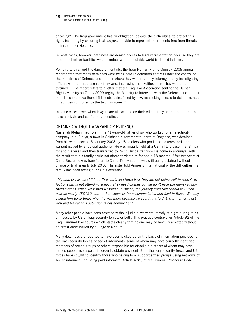#### <span id="page-17-0"></span>18 New order, same abuses Unlawful detentions and torture in Iraq

choosing". The Iraqi government has an obligation, despite the difficulties, to protect this right, including by ensuring that lawyers are able to represent their clients free from threats, intimidation or violence.

In most cases, however, detainees are denied access to legal representation because they are held in detention facilities where contact with the outside world is denied to them.

Pointing to this, and the dangers it entails, the Iraqi Human Rights Ministry 2009 annual report noted that many detainees were being held in detention centres under the control of the ministries of Defence and Interior where they were routinely interrogated by investigating officers without the presence of lawyers, increasing the likelihood that they would be tortured.<sup>23</sup> The report refers to a letter that the Iraqi Bar Association sent to the Human Rights Ministry on 7 July 2009 urging the Ministry to intervene with the Defence and Interior ministries and have them lift the obstacles faced by lawyers seeking access to detainees held in facilities controlled by the two ministries. $24$ 

In some cases, even when lawyers are allowed to see their clients they are not permitted to have a private and confidential meeting.

# DETAINED WITHOUT WARRANT OR EVIDENCE

Nasrallah Mohammad Ibrahim, a 41-year-old father of six who worked for an electricity company in al-Siniya, a town in Salaheddin governorate, north of Baghdad, was detained from his workplace on 5 January 2008 by US soldiers who produced no arrest order or warrant issued by a judicial authority. He was initially held at a US military base in al-Siniya for about a week and then transferred to Camp Bucca, far from his home in al-Siniya, with the result that his family could not afford to visit him for about 18 months. After two years at Camp Bucca he was transferred to Camp Taji where he was still being detained without charge or trial in early July 2010. His sister told Amnesty International of the difficulties his family has been facing during his detention:

"*My brother has six children, three girls and three boys,they are not doing well in school. In fact one girl is not attending school. They need clothes but we don't have the money to buy them clothes. When we visited Nasrallah in Bucca, the journey from Salaheddin to Bucca cost us nearly US\$150, add to that expenses for accommodation and food in Basra. We only visited him three times when he was there because we couldn't afford it. Our mother is not well and Nasrallah's detention is not helping her."*

Many other people have been arrested without judicial warrants, mostly at night during raids on houses, by US or Iraqi security forces, or both. This practice contravenes Article 92 of the Iraqi Criminal Procedures which states clearly that no one may be lawfully arrested without an arrest order issued by a judge or a court.

Many detainees are reported to have been picked up on the basis of information provided to the Iraqi security forces by secret informants, some of whom may have correctly identified members of armed groups or others responsible for attacks but others of whom may have named people as suspects in order to obtain payment. Both the Iraqi security forces and US forces have sought to identify those who belong to or support armed groups using networks of secret informers, including paid informers. Article 47(2) of the Criminal Procedure Code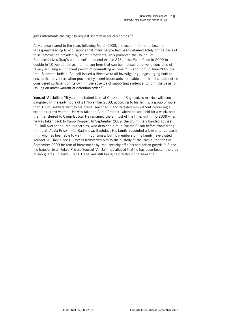gives informants the right to request secrecy in serious crimes.<sup>25</sup>

As violence soared in the years following March 2003, the use of informants became widespread leading to accusations that many people had been detained solely on the basis of false information provided by secret informants. This prompted the Council of Representatives (Iraq's parliament) to amend Article 243 of the Penal Code in 2009 to double to 10 years the maximum prison term that can be imposed on anyone convicted of falsely accusing an innocent person of committing a crime.<sup>26</sup> In addition, in June 2009 the Iraqi Supreme Judicial Council issued a directive to all investigating judges urging both to ensure that any information provided by secret informants is reliable and that it should not be considered sufficient on its own, in the absence of supporting evidence, to form the basis for issuing an arrest warrant or detention order.<sup>27</sup>

Youssef 'Ali Jalil, a 25-year-old student from al-Ghazalia in Baghdad, is married with one daughter. In the early hours of 21 November 2008, according to his family, a group of more than 10 US soldiers went to his house, searched it and arrested him without producing a search or arrest warrant. He was taken to Camp Cropper, where he was held for a week, and then transferred to Camp Bucca. He remained there, most of the time, until mid-2009 when he was taken back to Camp Cropper. In September 2009, the US military handed Youssef 'Ali Jalil over to the Iraqi authorities, who detained him in Rusafa Prison before transferring him to al-'Adala Prison in al-Kadhimiya, Baghdad. His family appointed a lawyer to represent him, who has been able to visit him four times, but no members of his family have visited Youssef 'Ali Jalil since US forces transferred him to the custody of the Iraqi authorities in September 2009 for fear of harassment by Iraqi security officials and prison guards.<sup>28</sup> Since his transfer to al-'Adala Prison, Youssef 'Ali Jalil has alleged that he has been beaten there by prison guards. In early July 2010 he was still being held without charge or trial.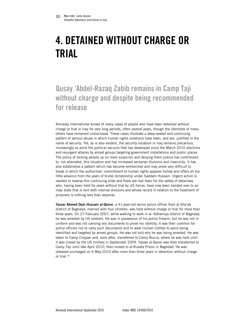# <span id="page-19-0"></span>4. DETAINED WITHOUT CHARGE OR TRIAL

# Qusay 'Abdel-Razaq Zabib remains in Camp Taji without charge and despite being recommended for release

Amnesty International knows of many cases of people who have been detained without charge or trial in Iraq for very long periods, often several years, though the identities of many others have remained undisclosed. These cases illustrate a deep-seated and continuing pattern of serious abuse in which human rights violations have been, and are, justified in the name of security. Yet, as is also evident, the security situation in Iraq remains precarious, increasingly so amid the political vacuum that has developed since the March 2010 elections and resurgent attacks by armed groups targeting government installations and public places. The policy of locking people up on mere suspicion and denying them justice has contributed to, not alleviated, this situation and has increased sectarian divisions and insecurity. It has also established a pattern which has become entrenched and may prove very difficult to break in which the authorities' commitment to human rights appears hollow and offers all too little advance from the years of brutal dictatorship under Saddam Hussain. Urgent action is needed to reverse this continuing slide and there are real fears for the safety of detainees who, having been held for years without trial by US forces, have now been handed over to an Iraqi state that is rent with internal divisions and whose record in relation to the treatment of prisoners is nothing less than abysmal.

Yasser Ahmed Dalo Hussain al-Qaissi, a 41-year-old senior police officer from al-Sha'ab district of Baghdad, married with four children, was held without charge or trial for more than three years. On 27 February 2007, while walking to work in al-'Adhamiya district of Baghdad, he was arrested by US soldiers. He was in possession of his police firearm, but he was not in uniform and was not carrying any documents to prove his identity; it was then common for police officers not to carry such documents and to wear civilian clothes to avoid being identified and targeted by armed groups. He was not told why he was being arrested. He was taken to Camp Cropper and, soon after, transferred to Camp Bucca, where he was held until it was closed by the US military in September 2009. Yasser al-Qaissi was then transferred to Camp Taji until late April 2010, then moved to al-Rusafa Prison in Baghdad. He was released uncharged on 6 May 2010 after more than three years in detention without charge or trial.<sup>29</sup>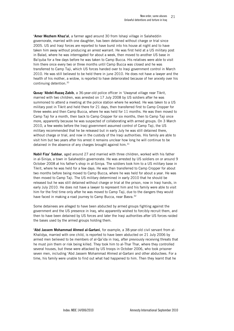'Amer Mezhem Khaz'al, a farmer aged around 30 from Ishaqi village in Salaheddin governorate, married with one daughter, has been detained without charge or trial since 2005. US and Iraqi forces are reported to have burst into his house at night and to have taken him away without producing an arrest warrant. He was first held at a US military post in Balad, where he was interrogated for about a week, then moved to another US base in Ba'quba for a few days before he was taken to Camp Bucca. His relatives were able to visit him there once every two or three months until Camp Bucca was closed and he was transferred to Camp Taji, which US forces handed over to Iraqi government control in March 2010. He was still believed to be held there in june 2010. He does not have a lawyer and the health of his mother, a widow, is reported to have deteriorated because of her anxiety over his continuing detention.<sup>30</sup>

Qusay 'Abdel-Razaq Zabib, a 36-year-old police officer in 'Uwaynat village near Tikrit, married with two children, was arrested on 17 July 2008 by US soldiers after he was summoned to attend a meeting at the police station where he worked. He was taken to a US military post in Tikrit and held there for 21 days, then transferred first to Camp Cropper for three weeks and then Camp Bucca, where he was held for 11 months. He was then moved to Camp Taji for a month, then back to Camp Cropper for six months, then to Camp Taji once more, apparently because he was suspected of collaborating with armed groups. On 3 March 2010, a few weeks before the Iraqi government assumed control of Camp Taji, the US military recommended that he be released but in early July he was still detained there, without charge or trial, and now in the custody of the Iraqi authorities. His family are able to visit him but two years after his arrest it remains unclear how long he will continue to be detained in the absence of any charges brought against him. $31$ 

Nabil Fiza' Sabbar, aged around 27 and married with three children, worked with his father in al-Siniya, a town in Salaheddin governorate. He was arrested by US soldiers on or around 9 October 2008 at his father's shop in al-Siniya. The soldiers took him to a US military base in Tikrit, where he was held for a few days. He was then transferred to Camp Cropper for about two months before being moved to Camp Bucca, where he was held for about a year. He was then moved to Camp Taji. The US military determined in early 2010 that he should be released but he was still detained without charge or trial at the prison, now in Iraqi hands, in early July 2010. He does not have a lawyer to represent him and his family were able to visit him for the first time only after he was moved to Camp Taji, due to the dangers they would have faced in making a road journey to Camp Bucca, near Basra.<sup>32</sup>

Some detainees are alleged to have been abducted by armed groups fighting against the government and the US presence in Iraq, who apparently wished to forcibly recruit them, and then to have been detained by US forces and later the Iraqi authorities after US forces raided the bases used by the armed groups holding them.

'Abd Jassem Mohammad Ahmed al-Gartani, for example, a 38-year-old civil servant from al-Khalidya, married with one child, is reported to have been abducted on 21 July 2006 by armed men believed to be members of al-Qa'ida in Iraq, after previously receiving threats that he must join them or risk being killed. They took him to al-Thar Thar, where they controlled several houses, but these were attacked by US troops in October 2006, who took prisoner seven men, including 'Abd Jassem Mohammad Ahmed al-Gartani and other abductees. For a time, his family were unable to find out what had happened to him. Then they learnt that he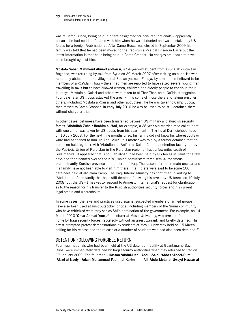#### <span id="page-21-0"></span>22 New order, same abuses Unlawful detentions and torture in Iraq

was at Camp Bucca, being held in a tent designated for non-Iraqi nationals – apparently because he had no identification with him when he was abducted and was mistaken by US forces for a foreign Arab national. After Camp Bucca was closed in September 2009 his family was told that he had been moved to the Iraqi-run al-Ma'qal Prison in Basra but the latest information is that he is being held in Camp Cropper. No charges are known to have been brought against him.

Mostafa Sabah Mahmoud Ahmad al-Qaissi, a 24-year-old student from al-Sha'ab district in Baghdad, was returning by taxi from Syria on 29 March 2007 after visiting an aunt. He was reportedly abducted in the village of al-Saqlawiya, near Falluja, by armed men believed to be members of al-Qa'ida in Iraq – the armed men are reported to have seized several young men travelling in taxis but to have allowed women, children and elderly people to continue their journeys. Mostafa al-Qaissi and others were taken to al-Thar Thar, an al-Qa'ida strongpoint. Four days later US troops attacked the area, killing some of those there and taking prisoner others, including Mostafa al-Qaissi and other abductees. He he was taken to Camp Bucca, then moved to Camp Cropper. In early July 2010 he was believed to be still detained there without charge or trial.

In other cases, detainees have been transferred between US military and Kurdish security forces. 'Abdullah Zuhair Ibrahim al-'Ani, for example, a 28-year-old married medical student with one child, was taken by US troops from his apartment in Tikrit's al-Dor neighbourhood on 10 July 2008. For the next nine months or so, his family did not know his whereabouts or what had happened to him. In April 2009, his mother was told by a former detainee that he had been held together with 'Abdullah al-'Ani' at al-Salam Camp, a detention facility run by the Patriotic Union of Kurdistan in the Kurdistan region of Iraq, a few miles south of Sulaimaniya. It appeared that 'Abdullah al-'Ani had been held by US forces in Tikrit for a few days and then handed over to the KRG, which administers three semi-autonomous predominantly Kurdish provinces in the north of Iraq. The reasons for this remain unclear and his family have not been able to visit him there. In all, there were said to be some 200 detainees held at al-Salam Camp. The Iraqi Interior Ministry has confirmed in writing to 'Abdullah al-'Ani's family that he is still detained following his arrest by US forces on 10 July 2008, but the USF-1 has yet to respond to Amnesty International's request for clarification as to the reason for his transfer to the Kurdish authorities security forces and his current legal status and whereabouts.

In some cases, the laws and practices used against suspected members of armed groups have also been used against outspoken critics, including members of the Sunni community who have criticized what they see as Shi'a domination of the government. For example, on 14 March 2010 'Omar Ahmad Yousef, a lecturer at Mosul University, was arrested from his home by Iraqi security forces, reportedly without an arrest warrant, and briefly detained. His arrest prompted protest demonstrations by students at Mosul University held on 15 March, calling for his release and the release of a number of students who had also been detained.<sup>33</sup>

# DETENTION FOLLOWING FORCIBLE RETURN

Four Iraqi nationals who had been held at the US detention facility at Guantánamo Bay, Cuba, were immediately detained by Iraqi security authorities when they returned to Iraq on 17 January 2009. The four men - Hassan 'Abdul-Hadi 'Abdul-Said, 'Abbas 'Abdel-Rumi 'Alawi al-Naely , Arkan Mohammad Fadhil al-Karim and 'Ali 'Abdu-Motalib 'Uwayd Hassan al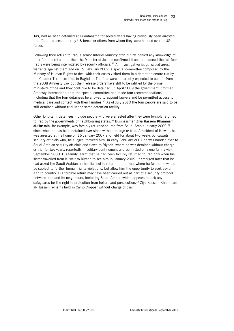Ta'i, had all been detained at Guantánamo for several years having previously been arrested in different places either by US forces or others from whom they were handed over to US forces.

Following their return to Iraq, a senior Interior Ministry official first denied any knowledge of their forcible return but then the Minister of Justice confirmed it and announced that all four Iraqis were being interrogated by security officials. $34$  An investigative judge issued arrest warrants against them and on 19 February 2009, a special committee composed by the Ministry of Human Rights to deal with their cases visited them in a detention centre run by the Counter-Terrorism Unit in Baghdad. The four were apparently expected to benefit from the 2008 Amnesty Law but their release orders have still to be ratified by the prime minister's office and they continue to be detained. In April 2009 the government informed Amnesty International that the special committee had made four recommendations, including that the four detainees be allowed to appoint lawyers and be permitted access to medical care and contact with their families.<sup>35</sup> As of July 2010 the four people are said to be still detained without trial in the same detention facility.

Other long-term detainees include people who were arrested after they were forcibly returned to Iraq by the governments of neighbouring states.<sup>36</sup> Businessman Ziya Kassem Khammam al-Hussain, for example, was forcibly returned to Iraq from Saudi Arabia in early 2009,  $37$ since when he has been detained ever since without charge or trial. A resident of Kuwait, he was arrested at his home on 15 January 2007 and held for about two weeks by Kuwaiti security officials who, he alleges, tortured him. In early February 2007 he was handed over to Saudi Arabian security officials and flown to Riyadh, where he was detained without charge or trial for two years, reportedly in solitary confinement and permitted only one family visit, in September 2008. His family learnt that he had been forcibly returned to Iraq only when his sister travelled from Kuwait to Riyadh to see him in January 2009. It emerged later that he had asked the Saudi Arabian authorities not to return him to Iraq, where he feared he would be subject to further human rights violations, but allow him the opportunity to seek asylum in a third country. His forcible return may have been carried out as part of a security protocol between Iraq and its neighbours, including Saudi Arabia, which appears to lack any safeguards for the right to protection from torture and persecution.<sup>38</sup> Ziya Kassem Khammam al-Hussain remains held in Camp Cropper without charge or trial.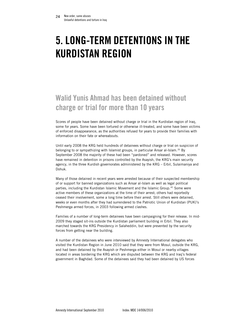# <span id="page-23-0"></span>5. LONG-TERM DETENTIONS IN THE KURDISTAN REGION

# Walid Yunis Ahmad has been detained without charge or trial for more than 10 years

Scores of people have been detained without charge or trial in the Kurdistan region of Iraq, some for years. Some have been tortured or otherwise ill-treated, and some have been victims of enforced disappearance, as the authorities refused for years to provide their families with information on their fate or whereabouts.

Until early 2008 the KRG held hundreds of detainees without charge or trial on suspicion of belonging to or sympathizing with Islamist groups, in particular Ansar al-Islam.<sup>39</sup> By September 2008 the majority of these had been "pardoned" and released. However, scores have remained in detention in prisons controlled by the Asayish, the KRG's main security agency, in the three Kurdish governorates administered by the KRG – Erbil, Sulaimaniya and Dohuk.

Many of those detained in recent years were arrested because of their suspected membership of or support for banned organizations such as Ansar al-Islam as well as legal political parties, including the Kurdistan Islamic Movement and the Islamic Group.<sup>40</sup> Some were active members of these organizations at the time of their arrest; others had reportedly ceased their involvement, some a long time before their arrest. Still others were detained, weeks or even months after they had surrendered to the Patriotic Union of Kurdistan (PUK)'s Peshmerga armed forces, in 2003 following armed clashes.

Families of a number of long-term detainees have been campaigning for their release. In mid-2009 they staged sit-ins outside the Kurdistan parliament building in Erbil. They also marched towards the KRG Presidency in Salaheddin, but were prevented by the security forces from getting near the building.

A number of the detainees who were interviewed by Amnesty International delegates who visited the Kurdistan Region in June 2010 said that they were from Mosul, outside the KRG, and had been detained by the Asayish or Peshmerga either in Mosul or nearby villages located in areas bordering the KRG which are disputed between the KRG and Iraq's federal government in Baghdad. Some of the detainees said they had been detained by US forces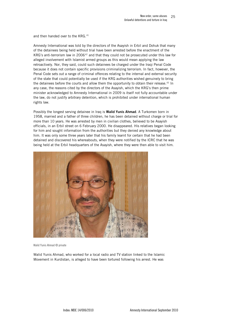and then handed over to the KRG.<sup>41</sup>

Amnesty International was told by the directors of the Asayish in Erbil and Dohuk that many of the detainees being held without trial have been arrested before the enactment of the KRG's anti-terrorism law in 2006<sup>42</sup> and that they could not be prosecuted under this law for alleged involvement with Islamist armed groups as this would mean applying the law retroactively. Nor, they said, could such detainees be charged under the Iraqi Penal Code because it does not contain specific provisions criminalizing terrorism. In fact, however, the Penal Code sets out a range of criminal offences relating to the internal and external security of the state that could potentially be used if the KRG authorities wished genuinely to bring the detainees before the courts and allow them the opportunity to obtain their release.<sup>43</sup> In any case, the reasons cited by the directors of the Asayish, which the KRG's then prime minister acknowledged to Amnesty International in 2009 is itself not fully accountable under the law, do not justify arbitrary detention, which is prohibited under international human rights law.

Possibly the longest serving detainee in Iraq is Walid Yunis Ahmad. A Turkomen born in 1958, married and a father of three children, he has been detained without charge or trial for more than 10 years. He was arrested by men in civilian clothes, believed to be Asayish officials, in an Erbil street on 6 February 2000. He disappeared. His relatives began looking for him and sought information from the authorities but they denied any knowledge about him. It was only some three years later that his family learnt for certain that he had been detained and discovered his whereabouts, when they were notified by the ICRC that he was being held at the Erbil headquarters of the Asayish, where they were then able to visit him.



Walid Yunis Ahmad © private

Walid Yunis Ahmad, who worked for a local radio and TV station linked to the Islamic Movement in Kurdistan, is alleged to have been tortured following his arrest. He was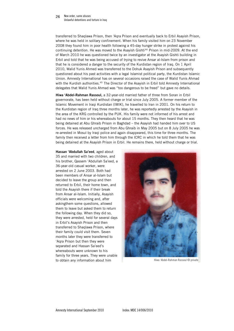transferred to Shaqlawa Prison, then 'Aqra Prison and eventually back to Erbil Asayish Prison, where he was held in solitary confinement. When his family visited him on 23 November 2008 they found him in poor health following a 45-day hunger strike in protest against his continuing detention. He was moved to the Asayish Gishti<sup>44</sup> Prison in mid-2009. At the end of March 2010 he was questioned twice by an investigator at the Asayish Gishti building in Erbil and told that he was being accused of trying to revive Ansar al-Islam from prison and that he is considered a danger to the security of the Kurdistan region of Iraq. On 1 April 2010, Walid Yunis Ahmed was transferred to the Dohuk Asayish Prison and subsequently questioned about his past activities with a legal Islamist political party, the Kurdistan Islamic Union. Amnesty International has on several occasions raised the case of Walid Yunis Ahmad with the Kurdish authorities.<sup>45</sup> The Director of the Asayish in Erbil told Amnesty International delegates that Walid Yunis Ahmad was "too dangerous to be freed" but gave no details.

Hiwa 'Abdel-Rahman Rassoul, a 32-year-old married father of three from Soran in Erbil governorate, has been held without charge or trial since July 2005. A former member of the Islamic Movement in Iraqi Kurdistan (IMIK), he travelled to Iran in 2001. On his return to the Kurdistan region of Iraq three months later, he was reportedly arrested by the Asayish in the area of the KRG controlled by the PUK. His family were not informed of his arrest and had no news of him or his whereabouts for about 15 months. They then heard that he was being detained at Abu Ghraib Prison in Baghdad – the Asayish had handed him over to US forces. He was released uncharged from Abu Ghraib in May 2005 but on 8 July 2005 he was re-arrested in Mosul by Iraqi police and again disappeared, this time for three months. The family then received a letter from him through the ICRC in which he told them that he was being detained at the Asayish Prison in Erbil. He remains there, held without charge or trial.

Hassan 'Abdullah Sa'eed, aged about 35 and married with two children, and his brother, Qassem 'Abdullah Sa'eed, a 36-year-old casual worker, were arrested on 2 June 2003. Both had been members of Ansar al-Islam but decided to leave the group and then returned to Erbil, their home town, and told the Asayish there if their break from Ansar al-Islam. Initially, Asayish officials were welcoming and, after askingthem some questions, allowed them to leave but asked them to return the following day. When they did so, they were arrested, held for several days in Erbil's Asayish Prison and then transferred to Shaqlawa Prison, where their family could visit them. Seven months later they were transferred to 'Aqra Prison but then they were separated and Hassan Sa'eed's whereabouts were unknown to his family for three years. They were unable to obtain any information about him Hiwa 'Abdel-Rahman Rassoul © private

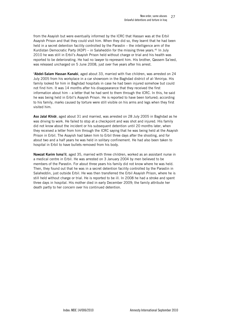from the Asayish but were eventually informed by the ICRC that Hassan was at the Erbil Asayish Prison and that they could visit him. When they did so, they learnt that he had been held in a secret detention facility controlled by the Parastin – the intelligence arm of the Kurdistan Democratic Party (KDP) – in Salaheddin for the missing three years.<sup>46</sup> In July 2010 he was still in Erbil's Asayish Prison held without charge or trial and his health was reported to be deteriorating. He had no lawyer to represent him. His brother, Qassem Sa'e ed, was released uncharged on 5 June 2008, just over five years after his arrest.

'Abdel-Salam Hassan Kanabi, aged about 33, married with five children, was arrested on 24 July 2005 from his workplace in a car showroom in the Baghdad district of al-'Amiriya. His family looked for him in Baghdad hospitals in case he had been injured somehow but could not find him. It was 14 months after his disappearance that they received the first information about him – a letter that he had sent to them through the ICRC. In this, he said he was being held in Erbil's Asayish Prison. He is reported to have been tortured; according to his family, marks caused by torture were still visible on his arms and legs when they first visited him.

Aso Jalal Khidr, aged about 31 and married, was arrested on 28 July 2005 in Baghdad as he was driving to work. He failed to stop at a checkpoint and was shot and injured. His family did not know about the incident or his subsequent detention until 20 months later, when they received a letter from him through the ICRC saying that he was being held at the Asayish Prison in Erbil. The Asayish had taken him to Erbil three days after the shooting, and for about two and a half years he was held in solitary confinement. He had also been taken to hospital in Erbil to have bullets removed from his body.

Nawzat Karim Isma'il, aged 35, married with three children, worked as an assistant nurse in a medical centre in Erbil. He was arrested on 3 January 2004 by men believed to be members of the Parastin. For about three years his family did not know where he was held. Then, they found out that he was in a secret detention facility controlled by the Parastin in Salaheddin, just outside Erbil. He was then transferred the Erbil Asayish Prison, where he is still held without charge or trial. He is reported to be ill. In 2008 he had a stroke and spent three days in hospital. His mother died in early December 2009; the family attribute her death partly to her concern over his continued detention.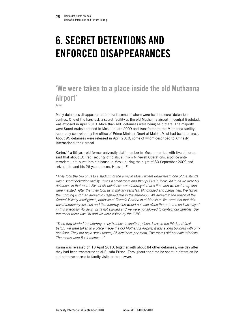# <span id="page-27-0"></span>6. SECRET DETENTIONS AND ENFORCED DISAPPEARANCES

# 'We were taken to a place inside the old Muthanna Airport'

Karim

Many detainees disappeared after arrest, some of whom were held in secret detention centres. One of the harshest, a secret facility at the old Muthanna airport in central Baghdad, was exposed in April 2010. More than 400 detainees were being held there. The majority were Sunni Arabs detained in Mosul in late 2009 and transferred to the Muthanna facility, reportedly controlled by the office of Prime Minister Nouri al-Maliki. Most had been tortured. About 95 detainees were released in April 2010, some of whom described to Amnesty International their ordeal.

Karim,47 a 55-year-old former university staff member in Mosul, married with five children, said that about 10 Iraqi security officials, all from Nineweh Operations, a police antiterrorism unit, burst into his house in Mosul during the night of 30 September 2009 and seized him and his 26-year-old son, Hussain: 48

*"They took the two of us to a stadium of the army in Mosul where underneath one of the stands was a secret detention facility: it was a small room and they put us in there. All in all we were 69 detainees in that room. Five or six detainees were interrogated at a time and we beaten up and were insulted. After that they took us in military vehicles, blindfolded and hands tied. We left in the morning and then arrived in Baghdad late in the afternoon. We arrived to the prison of the Central Military Intelligence, opposite al-Zawra'a Garden in al-Mansour. We were told that this*  was a temporary location and that interrogation would not take place there. In the end we stayed *in this prison for 45 days, visits not allowed and we were not allowed to contact our families. Our treatment there was OK and we were visited by the ICRC.* 

*"Then they started transferring us by batches to another prison. I was in the third and final*  batch. We were taken to a place inside the old Muthanna Airport. It was a long building with only *one floor. They put us in small rooms; 25 detainees per room. The rooms did not have windows. The rooms were 5 x 4 metres…"* 

Karim was released on 13 April 2010, together with about 84 other detainees, one day after they had been transferred to al-Rusafa Prison. Throughout the time he spent in detention he did not have access to family visits or to a lawyer.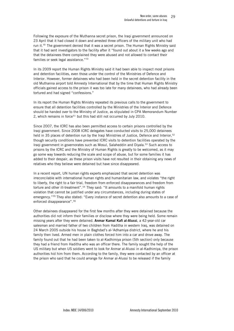Following the exposure of the Muthanna secret prison, the Iraqi government announced on 23 April that it had closed it down and arrested three officers of the military unit who had run it.<sup>49</sup> The government denied that it was a secret prison. The Human Rights Ministry said that it had sent investigators to the facility after it "found out about it a few weeks ago and that the detainees there complained they were abused and not allowed to contact their families or seek legal assistance."<sup>50</sup>

In its 2009 report the Human Rights Ministry said it had been able to inspect most prisons and detention facilities, even those under the control of the Ministries of Defence and Interior. However, former detainees who had been held in the secret detention facility in the old Muthanna airport told Amnesty International that by the time that Human Rights Ministry officials gained access to the prison it was too late for many detainees, who had already been tortured and had signed "confessions."

In its report the Human Rights Ministry repeated its previous calls to the government to ensure that all detention facilities controlled by the Ministries of the Interior and Defence should be handed over to the Ministry of Justice, as stipulated in CPA Memorandum Number 2, which remains in force<sup>51</sup> but this had still not occurred by July 2010.

Since 2007, the ICRC has also been permitted access to certain prisons controlled by the Iraqi government. Since 2008 ICRC delegates have conducted visits to 25,000 detainees held in 35 places of detention run by the Iraqi Ministries of Justice, Defence and Interior, 52 though security conditions have prevented ICRC visits to detention facilities operated by the Iraqi government in governorates such as Mosul, Salaheddin and Diyala.<sup>53</sup> Such access to prisons by the ICRC and the Ministry of Human Rights is greatly to be welcomed, as it may go some way towards reducing the scale and scope of abuse, but for some families it has added to their despair, as these prison visits have not resulted in their obtaining any news of relatives who they believe were detained but have since disappeared.

In a recent report, UN human rights experts emphasized that secret detention was irreconcilable with international human rights and humanitarian law, and violates "the right to liberty, the right to a fair trial, freedom from enforced disappearances and freedom from torture and other ill-treatment".<sup>54</sup> They said: "It amounts to a manifold human rights violation that cannot be justified under any circumstances, including during states of emergency."55 They also stated: "Every instance of secret detention also amounts to a case of enforced disappearance".56

Other detainees disappeared for the first few months after they were detained because the authorities did not inform their families or disclose where they were being held. Some remain missing years after they were detained. **Anmar Kamal Kafi al-Alussi**, a 42-year-old car salesman and married father of two children from Haditha in western Iraq, was detained on 24 March 2005 outside his house in Baghdad's al-'Adhamiya district, where he and his family then lived. Armed men in plain clothes forced him into a car and drove away. The family found out that he had been taken to al-Kadhimiya prison (5th section) only because they had a friend from Haditha who was an officer there. The family sought the help of the US military but when US soldiers went to look for Anmar al-Alussi in al-Kadhimiya, the prison authorities hid him from them. According to the family, they were contacted by an officer at the prison who said that he could arrange for Anmar al-Alussi to be released if the family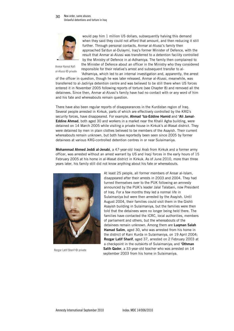

would pay him 1 million US dollars, subsequently halving this demand when they said they could not afford that amount, and then reducing it still further. Through personal contacts, Anmar al-Alussi's family then approached Sa'dun al-Dulaymi, Iraq's former Minister of Defence, with the result that Anmar al-Alussi was transferred to a detention facility controlled by the Ministry of Defence in al-Adhamiya. The family then complained to the Minister of Defence about an officer in the Ministry who they considered responsible for their relative's arrest and subsequent transfer to al-

Anmar Kamal Kafi al-Alussi © private

'Adhamiya, which led to an internal investigation and, apparently, the arrest of the officer in question, though he was later released. Anmar al-Alussi, meanwhile, was transferred to al-Jadiriya detention centre and was believed to be still there when US forces entered it in November 2005 following reports of torture (see Chapter 8) and removed all the detainees. Since then, Anmar al-Alussi's family have had no contact with or any word of him and his fate and whereabouts remain question.

There have also been regular reports of disappearances in the Kurdistan region of Iraq. Several people arrested in Kirkuk, parts of which are effectively controlled by the KRG's security forces, have disappeared. For example, Ahmad 'Izz-Eddine Hamid and 'Ali Jamal-Eddine Ahmad, both aged 30 and workers in a market near the Khalil Agha building, were detained on 14 March 2005 while visiting a private house in Kirkuk's al-Wasat district. They were detained by men in plain clothes believed to be members of the Asayish. Their current whereabouts remain unknown, but both have reportedly been seen since 2005 by former detainees at various KRG-controlled detention centres in or near Sulaimaniya.

Mohammad Ahmed Jeddi al-Jenabi, a 47-year-old Iraqi Arab from Kirkuk and a former army officer, was arrested without an arrest warrant by US and Iraqi forces in the early hours of 15 February 2005 at his home in al-Wasat district in Kirkuk. As of June 2010, more than three years later, his family still did not know anything about his fate or whereabouts.



Rezgar Latif Sharif © private

At least 25 people, all former members of Ansar al-Islam, disappeared after their arrests in 2003 and 2004. They had turned themselves over to the PUK following an amnesty announced by the PUK's leader Jalal Talabani, now President of Iraq. For a few months they led a normal life in Sulaimaniya but were then arrested by the Asayish. Until August 2004, their families could visit them in the Gishti Asayish building in Sulaimaniya, but the families were then told that the detainees were no longer being held there. The families have contacted the ICRC, local authorities, members of parliament and others, but the whereabouts of the detainees remain unknown. Among them are Lugman Salah Hamad Salim, aged 30, who was arrested from his home in the district of Kani Kurda in Sulaimaniya, on 19 April 2004; Rezgar Latif Sharif, aged 37, arrested on 2 February 2003 at a checkpoint in the outskirts of Sulaimaniya; and 'Othman Salih Qader, a 33-year-old teacher who was arrested on 14 september 2003 from his home in Sulaimaniya.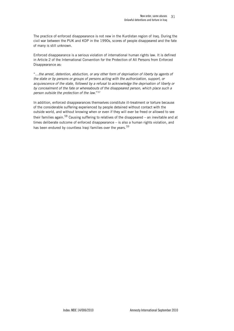The practice of enforced disappearance is not new in the Kurdistan region of Iraq. During the civil war between the PUK and KDP in the 1990s, scores of people disappeared and the fate of many is still unknown.

Enforced disappearance is a serious violation of international human rights law. It is defined in Article 2 of the International Convention for the Protection of All Persons from Enforced Disappearance as:

"…*the arrest, detention, abduction, or any other form of deprivation of liberty by agents of the state or by persons or groups of persons acting with the authorization, support, or acquiescence of the state, followed by a refusal to acknowledge the deprivation of liberty or by concealment of the fate or whereabouts of the disappeared person, which place such a person outside the protection of the law*."57

In addition, enforced disappearances themselves constitute ill-treatment or torture because of the considerable suffering experienced by people detained without contact with the outside world, and without knowing when or even if they will ever be freed or allowed to see their families again.<sup>58</sup> Causing suffering to relatives of the disappeared – an inevitable and at times deliberate outcome of enforced disappearance – is also a human rights violation, and has been endured by countless Iraqi families over the years.  $59$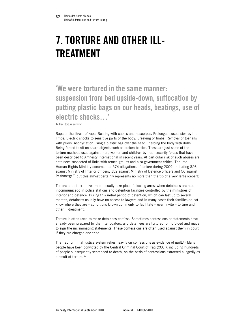# <span id="page-31-0"></span>7. TORTURE AND OTHER ILL-TREATMENT

'We were tortured in the same manner: suspension from bed upside-down, suffocation by putting plastic bags on our heads, beatings, use of electric shocks…'

An Iraqi torture survivor

Rape or the threat of rape. Beating with cables and hosepipes. Prolonged suspension by the limbs. Electric shocks to sensitive parts of the body. Breaking of limbs. Removal of toenails with pliers. Asphyxiation using a plastic bag over the head. Piercing the body with drills. Being forced to sit on sharp objects such as broken bottles. These are just some of the torture methods used against men, women and children by Iraqi security forces that have been described to Amnesty International in recent years. At particular risk of such abuses are detainees suspected of links with armed groups and also government critics. The Iraqi Human Rights Ministry documented 574 allegations of torture during 2009, including 326 against Ministry of Interior officers, 152 against Ministry of Defence officers and 56 against Peshmerga $60$  but this almost certainly represents no more than the tip of a very large iceberg.

Torture and other ill-treatment usually take place following arrest when detainees are held incommunicado in police stations and detention facilities controlled by the ministries of interior and defence. During this initial period of detention, which can last up to several months, detainees usually have no access to lawyers and in many cases their families do not know where they are – conditions known commonly to facilitate – even invite – torture and other ill-treatment.

Torture is often used to make detainees confess. Sometimes confessions or statements have already been prepared by the interrogators, and detainees are tortured, blindfolded and made to sign the incriminating statements. These confessions are often used against them in court if they are charged and tried.

The Iraqi criminal justice system relies heavily on confessions as evidence of guilt.<sup>61</sup> Many people have been convicted by the Central Criminal Court of Iraq (CCCI), including hundreds of people subsequently sentenced to death, on the basis of confessions extracted allegedly as a result of torture.<sup>62</sup>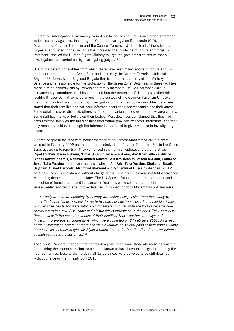In practice, interrogations are mainly carried out by police and intelligence officers from the various security agencies, including the Criminal Investigation Directorate (CID), the Directorate of Counter-Terrorism and the Counter-Terrorism Unit, instead of investigating judges as stipulated in the law. This has increased the incidence of torture and other illtreatment, and led the Human Rights Ministry to urge the government to ensure that all investigations are carried out by investigating judges. $63$ 

One of the detention facilities from which there have been many reports of torture and illtreatment is situated in the Green Zone and shared by the Counter-Terrorism Unit and Brigade 56, formerly the Baghdad Brigade that is under the authority of the Ministry of Defence and is responsible for the protection of the Green Zone. Detainees in these facilities are said to be denied visits by lawyers and family members. On 12 December 2009 a parliamentary committee, established to look into the treatment of detainees, visited this facility. It reported that some detainees in the custody of the Counter-Terrorism Unit told them that they had been tortured by interrogators to force them to confess. Most detainees stated that their families had not been informed about their whereabouts since their arrest. Some detainees were disabled, others suffered from various illnesses, and a few were elderly. Some still had marks of torture on their bodies. Most detainees complained that they had been arrested solely on the basis of false information provided by secret informants, and that they remained held even though the informants had failed to give evidence to investigating judges.

A dozen people associated with former member of parliament Mohammad al-Daini were arrested in February 2009 and held in the custody of the Counter-Terrorism Unit in the Green Zone, according to reports.<sup>64</sup> They comprised seven of his nephews and other relatives -Riyad Ibrahim Jasem al-Daini, 'Omar Obrahim Jassem al-Daini, Ala' Khayr Allah al-Maliki, 'Abbas Kazem Khamis, Rahman Ahmed Kareem, Wissam Ibrahim Jassem al-Daini, Farhakad Jamal Taha Yassine - and five other associates - 'Ali 'Adel Taha Yassine, Shaker al-Bayati, Haytham Khaled Barbooty, Mahmoud Maksoud and Mohammad Hussain Ghadban. All 12 were held incommunicado and without charge or trial. Their families were not told where they were being detained until months later. The UN Special Rapporteur on the promotion and protection of human rights and fundamental freedoms while countering terrorism, subsequently reported that all those detained in connection with Mohammad al-Daini were:

"… *severely ill-treated, including by beating with cables, suspension from the ceiling with either the feet or hands upwards for up to two days, or electro-shocks. Some had black bags put over their heads and were suffocated for several minutes until the bodies became blue several times in a row. Also, some had plastic sticks introduced in the anus. They were also threatened with the rape of members of their families. They were forced to sign and fingerprint pre-prepared confessions, which were collected on 24 February 2009. As a result of the ill-treatment, several of them had visible injuries on several parts of their bodies. Many have lost considerable weight. Mr Riyad Ibrahim Jassem [al-Daini] suffers from liver failure as a result of the torture sustained*."<sup>65</sup>

The Special Rapporteur added that he was in a position to name those allegedly responsible for torturing these detainees, but no action is known to have been taken against them by the Iraqi authorities. Despite their ordeal, all 12 detainees were believed to be still detained without charge or trial in early July 2010.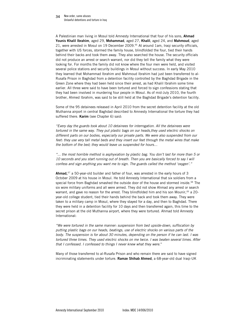#### New order, same abuses Unlawful detentions and torture in Iraq 34

A Palestinian man living in Mosul told Amnesty International that four of his sons, Ahmad Younis Khalil Ibrahim, aged 29, Mohammad, aged 27, Khalil, aged 24, and Mahmoud, aged 21, were arrested in Mosul on 19 December 2009. $66$  At around 1am, Iraqi security officials, together with US forces, stormed the family house, blindfolded the four, tied their hands behind their backs and took them away. They also searched the house. The security officials did not produce an arrest or search warrant, nor did they tell the family what they were looking for. For months the family did not know where the four men were held, and visited several police stations and security buildings in Mosul without success. In early May 2010 they learned that Mohammad Ibrahim and Mahmoud Ibrahim had just been transferred to al-Rusafa Prison in Baghdad from a detention facility controlled by the Baghdad Brigade in the Green Zone where they had been held since their arrest, as had Khalil Ibrahim some time earlier. All three were said to have been tortured and forced to sign confessions stating that they had been involved in murdering four people in Mosul. As of mid-July 2010, the fourth brother, Ahmed Ibrahim, was said to be still held at the Baghdad Brigade's detention facility.

Some of the 95 detainees released in April 2010 from the secret detention facility at the old Muthanna airport in central Baghdad described to Amnesty International the torture they had suffered there. Karim (see Chapter 6) said:

*"Every day the guards took about 10 detainees for interrogation. All the detainees were tortured in the same way. They put plastic bags on our heads,they used electric shocks on different parts on our bodies, especially our private parts. We were also suspended from our feet: they use very tall metal beds and they insert our feet through the metal wires that make the bottom of the bed; they would leave us suspended for hours…* 

*"... the most horrible method is asphyxiation by plastic bag. You don't last for more than 5 or 10 seconds and you start running out of breath. Then you are basically forced to say I will confess and sign anything you want me to sign. The guards called the method 'oxygen'."*

**Ahmad,**<sup>67</sup> a 50-year-old builder and father of four, was arrested in the early hours of 3 October 2009 at his house in Mosul. He told Amnesty International that six soldiers from a special force from Baghdad smashed the outside door of the house and stormed inside.<sup>68</sup> The six wore military uniforms and all were armed. They did not show Ahmad any arrest or search warrant, and gave no reason for the arrest. They blindfolded him and his son Mounir,  $69$  a 20year-old college student, tied their hands behind the back and took them away. They were taken to a military camp in Mosul, where they stayed for a day, and then to Baghdad. There they were held in a detention facility for 10 days and then transferred again, this time to the secret prison at the old Muthanna airport, where they were tortured. Ahmad told Amnesty International:

*"We were tortured in the same manner: suspension from bed upside-down, suffocation by putting plastic bags on our heads, beatings, use of electric shocks on various parts of the body. The suspension is for about 30 minutes, depending on the person if he can last. I was tortured three times. They used electric shocks on me twice. I was beaten several times. After that I confessed. I confessed to things I never knew what they were.*"

Many of those transferred to al-Rusafa Prison and who remain there are said to have signed incriminating statements under torture. Ramze Shihab Ahmed, a 68-year-old dual Iraqi-UK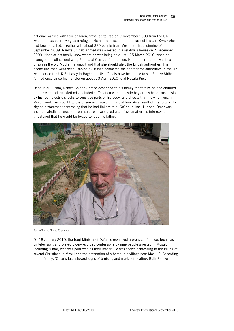national married with four children, travelled to Iraq on 9 November 2009 from the UK where he has been living as a refugee. He hoped to secure the release of his son 'Omar who had been arrested, together with about 380 people from Mosul, at the beginning of September 2009. Ramze Shihab Ahmed was arrested in a relative's house on 7 December 2009. None of his family knew where he was being held until 25 March 2010, when he managed to call second wife, Rabiha al-Qassab, from prison. He told her that he was in a prison in the old Muthanna airport and that she should alert the British authorities. The phone line then went dead. Rabiha al-Qassab contacted the appropriate authorities in the UK who alerted the UK Embassy in Baghdad. UK officials have been able to see Ramze Shihab Ahmed once since his transfer on about 13 April 2010 to al-Rusafa Prison.

Once in al-Rusafa, Ramze Shihab Ahmed described to his family the torture he had endured in the secret prison. Methods included suffocation with a plastic bag on his head, suspension by his feet, electric shocks to sensitive parts of his body, and threats that his wife living in Mosul would be brought to the prison and raped in front of him. As a result of the torture, he signed a statement confessing that he had links with al-Qa'ida in Iraq. His son 'Omar was also repeatedly tortured and was said to have signed a confession after his interrogators threatened that he would be forced to rape his father.



Ramze Shihab Ahmed © private

On 18 January 2010, the Iraqi Ministry of Defence organized a press conference, broadcast on television, and played video-recorded confessions by nine people arrested in Mosul, including 'Omar, who was portrayed as their leader. He was shown confessing to the killing of several Christians in Mosul and the detonation of a bomb in a village near Mosul.<sup>70</sup> According to the family, 'Omar's face showed signs of bruising and marks of beating. Both Ramze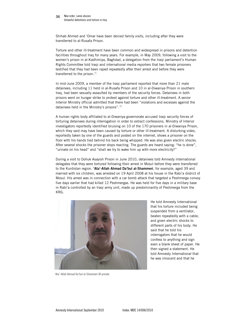#### New order, same abuses Unlawful detentions and torture in Iraq 36

Shihab Ahmed and 'Omar have been denied family visits, including after they were transferred to al-Rusafa Prison.

Torture and other ill-treatment have been common and widespread in prisons and detention facilities throughout Iraq for many years. For example, in May 2009, following a visit to the women's prison in al-Kadhimiya, Baghdad, a delegation from the Iraqi parliament's Human Rights Committee told Iraqi and international media reporters that two female prisoners testified that they had been raped repeatedly after their arrest and before they were transferred to the prison. $71$ 

In mid-June 2009, a member of the Iraqi parliament reported that more than 21 male detainees, including 11 held in al-Rusafa Prison and 10 in al-Diwaniya Prison in southern Iraq, had been sexually assaulted by members of the security forces. Detainees in both prisons went on hunger strike to protest against torture and other ill-treatment. A senior Interior Ministry official admitted that there had been "violations and excesses against the detainees held in the Ministry's prisons".<sup>72</sup>

A human rights body affiliated to al-Diwaniya governorate accused Iraqi security forces of torturing detainees during interrogation in order to extract confessions. Ministry of Interior investigators reportedly identified bruising on 10 of the 170 prisoners in al-Diwaniya Prison, which they said may have been caused by torture or other ill-treatment. A disturbing video, reportedly taken by one of the guards and posted on the internet, shows a prisoner on the floor with his hands tied behind his back being whipped. He was also given electric shocks. After several shocks the prisoner stops reacting. The guards are heard saying: "he is done", "urinate on his head" and "shall we try to wake him up with more electricity?"

During a visit to Dohuk Asayish Prison in June 2010, detainees told Amnesty International delegates that they were tortured following their arrest in Mosul before they were transferred to the Kurdistan region. 'Ata'-Allah Ahmad Da'bul al-Shammeri, for example, aged 39 and married with six children, was arrested on 19 April 2008 at his house in the Rabi'a district of Mosul. His arrest was in connection with a car bomb attack that targeted a Peshmerga convoy five days earlier that had killed 12 Peshmergas. He was held for five days in a military base in Rabi'a controlled by an Iraqi army unit, made up predominantly of Peshmerga from the KRG.



He told Amnesty International that his torture included being suspended from a ventilator, beaten repeatedly with a cable, and given electric shocks to different parts of his body. He said that he told his interrogators that he would confess to anything and sign even a blank sheet of paper. He then signed a statement. He told Amnesty International that he was innocent and that he

'Ata'-Allah Ahmad Da'bul al-Shammeri © private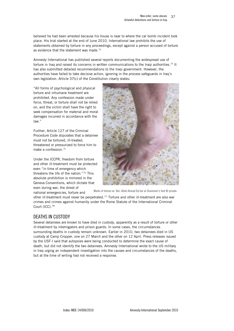<span id="page-36-0"></span>believed he had been arrested because his house is near to where the car bomb incident took place. His trial started at the end of June 2010. International law prohibits the use of statements obtained by torture in any proceedings, except against a person accused of torture as evidence that the statement was made. $73$ 

Amnesty International has published several reports documenting the widespread use of torture in Iraq and raised its concerns in written communications to the Iraqi authorities.<sup>74</sup> It has also submitted detailed recommendations to the Iraqi government. However, the authorities have failed to take decisive action, ignoring in the process safeguards in Iraq's own legislation. Article 37(c) of the Constitution clearly states:

"All forms of psychological and physical torture and inhumane treatment are prohibited. Any confession made under force, threat, or torture shall not be relied on, and the victim shall have the right to seek compensation for material and moral damages incurred in accordance with the law."

Further, Article 127 of the Criminal Procedure Code stipulates that a detainee must not be tortured, ill-treated, threatened or pressurized to force him to make a confession.<sup>75</sup>

Under the ICCPR, freedom from torture and other ill-treatment must be protected even "in time of emergency which threatens the life of the nation."<sup>76</sup> This absolute prohibition is mirrored in the Geneva Conventions, which dictate that even during war, the direst of national emergencies, torture and



Marks of torture on 'Ata'-Allah Ahmad Da'bul al-Shammeri's foot © private

other ill-treatment must never be perpetrated.<sup>77</sup> Torture and other ill-treatment are also war crimes and crimes against humanity under the Rome Statute of the International Criminal Court (ICC).78

# DEATHS IN CUSTODY

Several detainees are known to have died in custody, apparently as a result of torture or other ill-treatment by interrogators and prison guards. In some cases, the circumstances surrounding deaths in custody remain unknown. Earlier in 2010, two detainees died in US custody at Camp Cropper, one on 27 March and the other on 12 April. Press releases issued by the USF-I said that autopsies were being conducted to determine the exact cause of death, but did not identify the two detainees. Amnesty International wrote to the US military in Iraq urging an independent investigation into the causes and circumstances of the deaths, but at the time of writing had not received a response.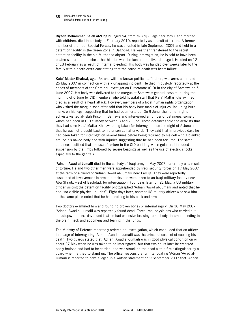Riyadh Mohammad Saleh al-'Uqaibi, aged 54, from al-'Arij village near Mosul and married with children, died in custody in February 2010, reportedly as a result of torture. A former member of the Iraqi Special Forces, he was arrested in late September 2009 and held in a detention facility in the Green Zone in Baghdad. He was then transferred to the secret detention facility in the old Muthanna airport. During interrogation, he is said to have been beaten so hard on the chest that his ribs were broken and his liver damaged. He died on 12 or 13 February as a result of internal bleeding. His body was handed over weeks later to the family with a death certificate stating that the cause of death was heart failure.

Kata' Mattar Khalawi, aged 54 and with no known political affiliation, was arrested around 25 May 2007 in connection with a kidnapping incident. He died in custody reportedly at the hands of members of the Criminal Investigation Directorate (CID) in the city of Samawa on 5 June 2007. His body was delivered to the morgue at Samawa's general hospital during the morning of 6 June by CID members, who told hospital staff that Kata' Mattar Khalawi had died as a result of a heart attack. However, members of a local human rights organization who visited the morgue soon after said that his body bore marks of injuries, including burn marks on his legs, suggesting that he had been tortured. On 9 June, the human rights activists visited al-Islah Prison in Samawa and interviewed a number of detainees, some of whom had been in CID custody between 3 and 7 June. These detainees told the activists that they had seen Kata' Mattar Khalawi being taken for interrogation on the night of 5 June and that he was not brought back to his prison cell afterwards. They said that in previous days he had been taken for interrogation several times before being returned to his cell with a blanket around his naked body and with injuries suggesting that he had been tortured. The same detainees testified that the use of torture in the CID building was regular and included suspension by the limbs followed by severe beatings as well as the use of electric shocks, especially to the genitals.

'Adnan 'Awad al-Jumaili died in the custody of Iraqi army in May 2007, reportedly as a result of torture. He and two other men were apprehended by Iraqi security forces on 17 May 2007 at the farm of a friend of 'Adnan 'Awad al-Jumaili near Falluja. They were reportedly suspected of involvement in armed attacks and were taken to an Iraqi military facility near Abu Ghraib, west of Baghdad, for interrogation. Four days later, on 21 May, a US military officer visiting the detention facility photographed 'Adnan 'Awad al-Jumaili and noted that he had "no visible physical injuries". Eight days later, another US military officer who saw him at the same place noted that he had bruising to his back and arms.

Two doctors examined him and found no broken bones or internal injury. On 30 May 2007, 'Adnan 'Awad al-Jumaili was reportedly found dead. Three Iraqi physicians who carried out an autopsy the next day found that he had extensive bruising to his body; internal bleeding in the brain, neck and abdomen; and tearing in the lungs.

The Ministry of Defence reportedly ordered an investigation, which concluded that an officer in charge of interrogating 'Adnan 'Awad al-Jumaili was the principal suspect of causing his death. Two guards stated that 'Adnan 'Awad al-Jumaili was in good physical condition on or about 27 May when he was taken to be interrogated, but that two hours later he emerged badly bruised and had to be carried, and was struck on the head with a fire extinguisher by a guard when he tried to stand up. The officer responsible for interrogating 'Adnan 'Awad al-Jumaili is reported to have alleged in a written statement on 9 September 2007 that 'Adnan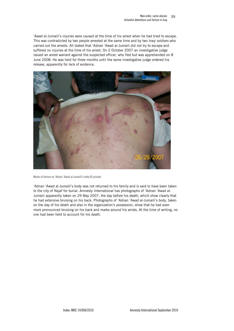'Awad al-Jumaili's injuries were caused at the time of his arrest when he had tried to escape. This was contradicted by two people arrested at the same time and by two Iraqi soldiers who carried out the arrests. All stated that 'Adnan 'Awad al-Jumaili did not try to escape and suffered no injuries at the time of his arrest. On 2 October 2007 an investigative judge issued an arrest warrant against the suspected officer, who fled but was apprehended on 8 June 2008. He was held for three months until the same investigative judge ordered his release, apparently for lack of evidence.



Marks of torture on 'Adnan 'Awad al-Jumaili's body © private

'Adnan 'Awad al-Jumaili's body was not returned to his family and is said to have been taken to the city of Najaf for burial. Amnesty International has photographs of 'Adnan 'Awad al-Jumaili apparently taken on 29 May 2007, the day before his death, which show clearly that he had extensive bruising on his back. Photographs of 'Adnan 'Awad al-Jumaili's body, taken on the day of his death and also in the organization's possession, show that he had even more pronounced bruising on his back and marks around his wrists. At the time of writing, no one had been held to account for his death.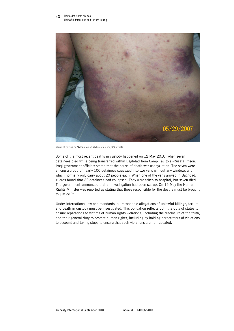

Marks of torture on 'Adnan 'Awad al-Jumaili's body © private

Some of the most recent deaths in custody happened on 12 May 2010, when seven detainees died while being transferred within Baghdad from Camp Taji to al-Rusafa Prison. Iraqi government officials stated that the cause of death was asphyxiation. The seven were among a group of nearly 100 detainees squeezed into two vans without any windows and which normally only carry about 20 people each. When one of the vans arrived in Baghdad, guards found that 22 detainees had collapsed. They were taken to hospital, but seven died. The government announced that an investigation had been set up. On 15 May the Human Rights Minister was reported as stating that those responsible for the deaths must be brought to justice.<sup>79</sup>

Under international law and standards, all reasonable allegations of unlawful killings, torture and death in custody must be investigated. This obligation reflects both the duty of states to ensure reparations to victims of human rights violations, including the disclosure of the truth, and their general duty to protect human rights, including by holding perpetrators of violations to account and taking steps to ensure that such violations are not repeated.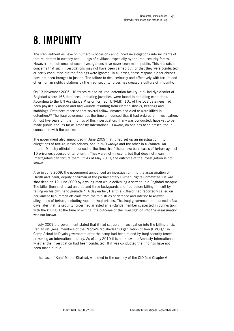# <span id="page-40-0"></span>8. IMPUNITY

The Iraqi authorities have on numerous occasions announced investigations into incidents of torture, deaths in custody and killings of civilians, especially by the Iraqi security forces. However, the outcomes of such investigations have never been made public. This has raised concerns that such investigations may not have been carried out, or that they were conducted or partly conducted but the findings were ignored. In all cases, those responsible for abuses have not been brought to justice. The failure to deal seriously and effectively with torture and other human rights violations by the Iraqi security forces has created a culture of impunity.

On 13 November 2005, US forces raided an Iraqi detention facility in al-Jadiriya district of Baghdad where 168 detainees, including juveniles, were found in appalling conditions. According to the UN Assistance Mission for Iraq (UNAMI), 101 of the 168 detainees had been physically abused and had wounds resulting from electric shocks, beatings and stabbings. Detainees reported that several fellow inmates had died or were killed in detention.<sup>80</sup> The Iraqi government at the time announced that it had ordered an investigation. Almost five years on, the findings of this investigation, if any was conducted, have yet to be made public and, as far as Amnesty International is aware, no one has been prosecuted in connection with the abuses.

The government also announced in June 2009 that it had set up an investigation into allegations of torture in two prisons, one in al-Diwaniya and the other in al-'Amara. An Interior Ministry official announced at the time that "there have been cases of torture against 10 prisoners accused of terrorism… They were not innocent, but that does not mean interrogators can torture them."<sup>81</sup> As of May 2010, the outcome of the investigation is not known.

Also in June 2009, the government announced an investigation into the assassination of Harith al-'Obaidi, deputy chairman of the parliamentary Human Rights Committee. He was shot dead on 12 June 2009 by a young man while delivering a sermon in a Baghdad mosque. The killer then shot dead an aide and three bodyguards and fled before killing himself by falling on his own hand grenade. $82$  A day earlier, Harith al-'Obaidi had reportedly called on parliament to summon officials from the ministries of defence and interior to answer allegations of torture, including rape, in Iraqi prisons. The Iraqi government announced a few days later that its security forces had arrested an al-Qa'ida member suspected in connection with the killing. At the time of writing, the outcome of the investigation into the assassination was not known.

In July 2009 the government stated that it had set up an investigation into the killing of six Iranian refugees, members of the People's Mojahedeen Organization of Iran (PMOI), 83 in Camp Ashraf in Diyala governorate after the camp had been raided by Iraqi security forces provoking an international outcry. As of July 2010 it is not known to Amnesty International whether the investigation had been conducted. If it was conducted the findings have not been made public.

In the case of Kata' Mattar Khalawi, who died in the custody of the CID (see Chapter 6),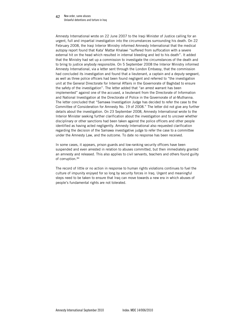#### New order, same abuses Unlawful detentions and torture in Iraq 42

Amnesty International wrote on 22 June 2007 to the Iraqi Minister of Justice calling for an urgent, full and impartial investigation into the circumstances surrounding his death. On 22 February 2008, the Iraqi Interior Ministry informed Amnesty International that the medical autopsy report found that Kata' Mattar Khalawi "suffered from suffocation with a severe external hit on the head which resulted in internal bleeding and led to his death". It added that the Ministry had set up a commission to investigate the circumstances of the death and to bring to justice anybody responsible. On 5 September 2008 the Interior Ministry informed Amnesty International, via a letter sent through the London Embassy, that the commission had concluded its investigation and found that a lieutenant, a captain and a deputy sergeant, as well as three police officers had been found negligent and referred to "the investigation unit at the General Directorate for Internal Affairs in the Governorate of Baghdad to ensure the safety of the investigation". The letter added that "an arrest warrant has been implemented" against one of the accused, a lieutenant from the Directorate of Information and National Investigation at the Directorate of Police in the Governorate of al-Muthanna. The letter concluded that "Samawa Investigation Judge has decided to refer the case to the Committee of Consideration for Amnesty No. 19 of 2008." The letter did not give any further details about the investigation. On 23 September 2008, Amnesty International wrote to the Interior Minister seeking further clarification about the investigation and to uncover whether disciplinary or other sanctions had been taken against the police officers and other people identified as having acted negligently. Amnesty International also requested clarification regarding the decision of the Samawa investigative judge to refer the case to a committee under the Amnesty Law, and the outcome. To date no response has been received.

In some cases, it appears, prison guards and low-ranking security officers have been suspended and even arrested in relation to abuses committed, but then immediately granted an amnesty and released. This also applies to civil servants, teachers and others found guilty of corruption.<sup>84</sup>

The record of little or no action in response to human rights violations continues to fuel the culture of impunity enjoyed for so long by security forces in Iraq. Urgent and meaningful steps need to be taken to ensure that Iraq can move towards a new era in which abuses of people's fundamental rights are not tolerated.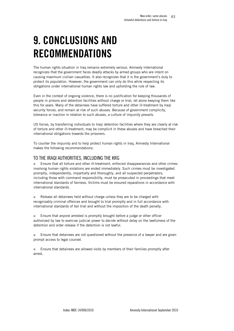# <span id="page-42-0"></span>9. CONCLUSIONS AND RECOMMENDATIONS

The human rights situation in Iraq remains extremely serious. Amnesty International recognizes that the government faces deadly attacks by armed groups who are intent on causing maximum civilian casualties. It also recognizes that it is the government's duty to protect its population. However, the government can only do this while respecting its obligations under international human rights law and upholding the rule of law.

Even in the context of ongoing violence, there is no justification for keeping thousands of people in prisons and detention facilities without charge or trial, let alone keeping them like this for years. Many of the detainees have suffered torture and other ill-treatment by Iraqi security forces, and remain at risk of such abuses. Because of government complicity, tolerance or inaction in relation to such abuses, a culture of impunity prevails.

US forces, by transferring individuals to Iraqi detention facilities where they are clearly at risk of torture and other ill-treatment, may be complicit in these abuses and have breached their international obligations towards the prisoners.

To counter the impunity and to help protect human rights in Iraq, Amnesty International makes the following recommendations:

# TO THE IRAQI AUTHORITIES, INCLUDING THE KRG

 Ensure that all torture and other ill-treatment, enforced disappearances and other crimes involving human rights violations are ended immediately. Such crimes must be investigated promptly, independently, impartially and thoroughly, and all suspected perpetrators, including those with command responsibility, must be prosecuted in proceedings that meet international standards of fairness. Victims must be ensured reparations in accordance with international standards.

Release all detainees held without charge unless they are to be charged with recognizably criminal offences and brought to trial promptly and in full accordance with international standards of fair trial and without the imposition of the death penalty.

**Ensure that anyone arrested is promptly brought before a judge or other officer** authorized by law to exercise judicial power to decide without delay on the lawfulness of the detention and order release if the detention is not lawful.

**Ensure that detainees are not questioned without the presence of a lawyer and are given** prompt access to legal counsel.

 Ensure that detainees are allowed visits by members of their families promptly after arrest.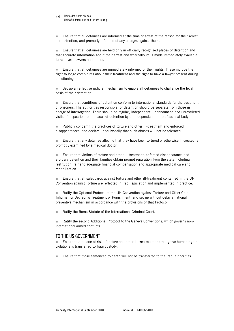#### <span id="page-43-0"></span>New order, same abuses Unlawful detentions and torture in Iraq 44

 Ensure that all detainees are informed at the time of arrest of the reason for their arrest and detention, and promptly informed of any charges against them.

 Ensure that all detainees are held only in officially recognized places of detention and that accurate information about their arrest and whereabouts is made immediately available to relatives, lawyers and others.

 Ensure that all detainees are immediately informed of their rights. These include the right to lodge complaints about their treatment and the right to have a lawyer present during questioning.

 Set up an effective judicial mechanism to enable all detainees to challenge the legal basis of their detention.

 Ensure that conditions of detention conform to international standards for the treatment of prisoners. The authorities responsible for detention should be separate from those in charge of interrogation. There should be regular, independent, unannounced and unrestricted visits of inspection to all places of detention by an independent and professional body.

 Publicly condemn the practices of torture and other ill-treatment and enforced disappearances, and declare unequivocally that such abuses will not be tolerated.

 Ensure that any detainee alleging that they have been tortured or otherwise ill-treated is promptly examined by a medical doctor.

**Ensure that victims of torture and other ill-treatment, enforced disappearance and** arbitrary detention and their families obtain prompt reparation from the state including restitution, fair and adequate financial compensation and appropriate medical care and rehabilitation.

 Ensure that all safeguards against torture and other ill-treatment contained in the UN Convention against Torture are reflected in Iraqi legislation and implemented in practice.

 Ratify the Optional Protocol of the UN Convention against Torture and Other Cruel, Inhuman or Degrading Treatment or Punishment, and set up without delay a national preventive mechanism in accordance with the provisions of that Protocol.

■ Ratify the Rome Statute of the International Criminal Court.

■ Ratify the second Additional Protocol to the Geneva Conventions, which governs noninternational armed conflicts.

## TO THE US GOVERNMENT

 Ensure that no one at risk of torture and other ill-treatment or other grave human rights violations is transferred to Iraqi custody.

Ensure that those sentenced to death will not be transferred to the Iraqi authorities.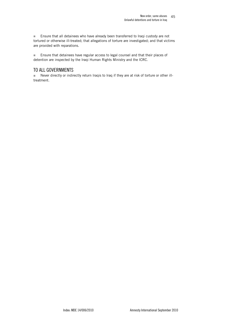<span id="page-44-0"></span>**Ensure that all detainees who have already been transferred to Iraqi custody are not** tortured or otherwise ill-treated; that allegations of torture are investigated; and that victims are provided with reparations.

**Ensure that detainees have regular access to legal counsel and that their places of** detention are inspected by the Iraqi Human Rights Ministry and the ICRC.

# TO ALL GOVERNMENTS

■ Never directly or indirectly return Iraqis to Iraq if they are at risk of torture or other illtreatment.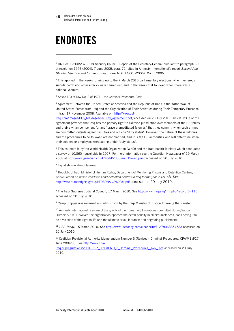# <span id="page-45-0"></span>ENDNOTES

1

 $1$  UN Doc. S/2005/373, UN Security Council, Report of the Secretary-General pursuant to paragraph 30 of resolution 1546 (2004), 7 June 2005, para. 72, cited in Amnesty International's report *Beyond Abu Ghraib: detention and torture in Iraq* (Index: MDE 14/001/2006), March 2006.

 $2$  This applied in the weeks running up to the 7 March 2010 parliamentary elections, when numerous suicide bomb and other attacks were carried out, and in the weeks that followed when there was a political vacuum.

<sup>3</sup> Article 123 of Law No. 3 of 1971 – the Criminal Procedure Code.

4 Agreement Between the United States of America and the Republic of Iraq On the Withdrawal of United States Forces from Iraq and the Organization of Their Activities during Their Temporary Presence in Iraq, 17 November 2008. Available on: [http://www.usf-](http://www.usf-iraq.com/images/CGs_Messages/security_agreement.pdf)

[Iraq.com/images/CGs\\_Messages/security\\_agreement.pdf](http://www.usf-iraq.com/images/CGs_Messages/security_agreement.pdf), accessed on 20 July 2010. Article 12(1) of the agreement provides that Iraq has the primary right to exercise jurisdiction over members of the US forces and their civilian component for any "grave premeditated felonies" that they commit, when such crimes are committed outside agreed facilities and outside "duty status". However, the nature of these felonies and the procedures to be followed are not clarified, and it is the US authorities who will determine when their soldiers or employees were acting under "duty status".

5 This estimate is by the World Health Organization (WHO) and the Iraqi health Ministry which conducted a survey of 10,860 households in 2007. For more information see the Guardian Newspaper of 19 March 2008 at <http://www.guardian.co.uk/world/2008/mar/19/iraq/print> accessed on 20 July 2010.

<sup>6</sup> Lajnat shu'un al-muhtajazeen.

<sup>7</sup> Republic of Iraq, Ministry of Human Rights, Department of Monitoring Prisons and Detention Centres, *Annual report on prison conditions and detention centres in Iraq for the year 2009*, p8. See <http://www.humanrights.gov.iq/PERSONAL/2%20ok.pdf> accessed on 20 July 2010.

8 The Iraqi Supreme Judicial Council, 17 March 2010. See<http://www.iraqja.iq/ifm.php?recordID=115> accessed on 20 July 2010.

9 Camp Cropper was renamed al-Karkh Prison by the Iraqi Ministry of Justice following the transfer.

<sup>10</sup> Amnesty International is aware of the gravity of the human right violations committed during Saddam Hussein's rule. However, the organization opposes the death penalty in all circumstances, considering it to be a violation of the right to life and the ultimate cruel, inhuman and degrading punishment.

<sup>11</sup> *USA Today*, 15 March 2010. See <http://www.usatoday.com/cleanprint/?1278068854583>accessed on 20 July 2010.

12 Coalition Provisional Authority Memorandum Number 3 (Revised), Criminal Procedures. CPA/MEM/27 June 2004/03. See [http://www.cpa-](http://www.cpa-iraq.org/regulations/20040627_CPAMEMO_3_Criminal_Procedures__Rev_.pdf)

[iraq.org/regulations/20040627\\_CPAMEMO\\_3\\_Criminal\\_Procedures\\_\\_Rev\\_.pdf](http://www.cpa-iraq.org/regulations/20040627_CPAMEMO_3_Criminal_Procedures__Rev_.pdf) accessed on 20 July 2010.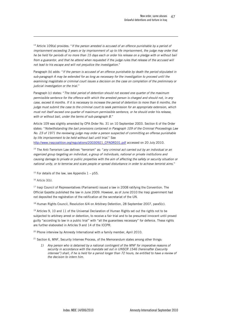13 Article 109(a) provides: "*If the person arrested is accused of an offence punishable by a period of imprisonment exceeding 3 years or by imprisonment of up to life imprisonment, the judge may order that he be held for periods of no more than 15 days each or order his release on a pledge with or without bail*  from a guarantor, and that he attend when requested if the judge rules that release of the accused will *not lead to his escape and will not prejudice the investigation*."

Paragraph (b) adds: "*If the person is accused of an offence punishable by death the period stipulated in sub-paragraph A may be extended for as long as necessary for the investigation to proceed until the examining magistrate or criminal court issues a decision on the case on completion of the preliminary or judicial investigation or the trial*."

Paragraph (c) states: "*The total period of detention should not exceed one quarter of the maximum permissible sentence for the offence with which the arrested person is charged and should not, in any case, exceed 6 months. If it is necessary to increase the period of detention to more than 6 months, the judge must submit the case to the criminal court to seek permission for an appropriate extension, which must not itself exceed one quarter of maximum permissible sentence, or he should order his release, with or without bail, under the terms of sub-paragraph B*."

Article 109 was slightly amended by CPA Order No. 31 on 10 September 2003. Section 6 of the Order states: "*Notwithstanding the bail provisions contained in Paragraph 109 of the Criminal Proceedings Law No. 23 of 1971 the reviewing judge may order a person suspected of committing an offense punishable by life imprisonment to be held without bail until trial*." See [http://www.iraqcoalition.org/regulations/20030921\\_CPAORD31.pdf](http://www.iraqcoalition.org/regulations/20030921_CPAORD31.pdf) accessed on 20 July 2010.

<sup>14</sup> The Anti-Terrorism Law defines "terrorism" as: "*any criminal act carried out by an individual or an organized group targeting an individual, a group of individuals, national or private institutions and causing damage to private or public properties with the aim of affecting the safety or security situation or national unity, or to terrorise and scare people or spread disturbance in order to achieve terrorist aims*."

 $15$  For details of the law, see Appendix  $1 - p55$ .

 $16$  Article  $3(b)$ .

-

<sup>17</sup> Iraqi Council of Representatives (Parliament) issued a law in 2008 ratifying the Convention. The Official Gazette published the law in June 2009. However, as of June 2010 the Iraqi government had not deposited the registration of the ratification at the secretariat of the UN.

<sup>18</sup> Human Rights Council, Resolution 6/4 on Arbitrary Detention, 28 September 2007, para5(c).

 $19$  Articles 9, 10 and 11 of the Universal Declaration of Human Rights set out the rights not to be subjected to arbitrary arrest or detention, to receive a fair trial and to be presumed innocent until proved guilty "according to law in a public trial" with "all the guarantees necessary" for defence. These rights are further elaborated in Articles 9 and 14 of the ICCPR.

<sup>20</sup> Phone interview by Amnesty International with a family member, April 2010.

 $21$  Section 6, MNF, Security Internee Process, of the Memorandum states among other things:

*1) Any person who is detained by a national contingent of the MNF for imperative reasons of security in accordance with the mandate set out in UNSCR 1546 (hereinafter £security internee") shall, if he is held for a period longer than 72 hours, be entitled to have a review of the decision to intern him.*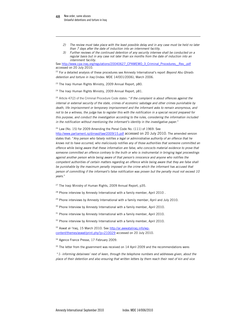-

- *2) The review must take place with the least possible delay and in any case must be held no later than 7 days after the date of induction into an internment facility.*
- *3) Further reviews of the continued detention of any security internee shall be conducted on a regular basis but in any case not later than six months from the date of induction into an internment facility.*

See [http://www.cpa-iraq.org/regulations/20040627\\_CPAMEMO\\_3\\_Criminal\\_Procedures\\_\\_Rev\\_.pdf](http://www.cpa-iraq.org/regulations/20040627_CPAMEMO_3_Criminal_Procedures__Rev_.pdf) accessed on 20 July 2010.

22 For a detailed analysis of these procedures see Amnesty International's report *Beyond Abu Ghraib: detention and torture in Iraq* (Index: MDE 14/001/2006), March 2006.

<sup>23</sup> The Iraqi Human Rights Ministry, 2009 Annual Report, p80.

<sup>24</sup> The Iraqi Human Rights Ministry, 2009 Annual Report, p81.

<sup>25</sup> Article 47(2) of the Criminal Procedure Code states: "*If the complaint is about offences against the internal or external security of the state, crimes of economic sabotage and other crimes punishable by death, life imprisonment or temporary imprisonment and the informant asks to remain anonymous, and not to be a witness, the judge has to register this with the notification in a special record prepared for this purpose, and conduct the investigation according to the rules, considering the information included in the notification without mentioning the informant's identity in the investigative paper*."

 $26$  Law (No. 15) for 2009 Amending the Penal Code No. (111) of 1969. See

http://www.parliament.jq/dirrasd/law/2009/15.pdf accessed on 20 July 2010. The amended version states that: "*Any person who falsely notifies a legal or administrative authority of an offence that he knows not to have occurred, who maliciously notifies any of those authorities that someone committed an offence while being aware that these information are false, who concocts material evidence to prove that someone committed an offence contrary to the truth or who is instrumental in bringing legal proceedings against another person while being aware of that person's innocence and anyone who notifies the competent authorities of certain matters regarding an offence while being aware that they are false shall be punishable by the maximum penalty imposed on the crime which the informant has accused that person of committing if the informant's false notification was proven but the penalty must not exceed 10 years*."

<sup>27</sup> The Iraqi Ministry of Human Rights, 2009 Annual Report, p35.

<sup>28</sup> Phone interview by Amnesty International with a family member, April 2010.

<sup>29</sup> Phone interviews by Amnesty International with a family member, April and July 2010.

<sup>30</sup> Phone Interview by Amnesty International with a family member, April 2010.

 $31$  Phone interview by Amnesty International with a family member, April 2010.

<sup>32</sup> Phone interview by Amnesty International with a family member, April 2010.

33 Aswat al-'Iraq, 15 March 2010. See [http://ar.awwataliraq.info/wp](http://ar.awwataliraq.info/wp-content/themes/aswat/print.php?p=210029)[content/themes/aswat/print.php?p=210029](http://ar.awwataliraq.info/wp-content/themes/aswat/print.php?p=210029) accessed on 20 July 2010.

34 Agence France Presse*,* 17 February 2009.

 $35$  The letter from the government was received on 14 April 2009 and the recommendations were:

 "*1- informing detainees' next of keen, through the telephone numbers and addresses given, about the place of their detention and also ensuring that written letters by them reach their next of kin and vice*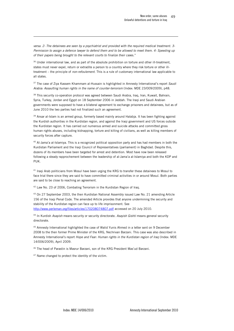*versa. 2- The detainees are seen by a psychiatrist and provided with the required medical treatment. 3- Permission to assign a defence lawyer to defend them and to be allowed to meet them. 4- Speeding up of their papers being brought to the relevant courts to finalize their cas*es."

-

<sup>36</sup> Under international law, and as part of the absolute prohibition on torture and other ill-treatment, states must never expel, return or extradite a person to a country where they risk torture or other illtreatment – the principle of *non-refoulement*. This is a rule of customary international law applicable to all states.

37 The case of Ziya Kassem Khammam al-Hussain is highlighted in Amnesty International's report *Saudi Arabia: Assaulting human rights in the name of counter-terrorism* (Index: MDE 23/009/2009), p48.

<sup>38</sup> This security co-operation protocol was agreed between Saudi Arabia, Iraq, Iran, Kuwait, Bahrain, Syria, Turkey, Jordan and Egypt on 18 September 2006 in Jeddah. The Iraqi and Saudi Arabian governments were supposed to have a bilateral agreement to exchange prisoners and detainees, but as of June 2010 the two parties had not finalized such an agreement.

39 Ansar al-Islam is an armed group, formerly based mainly around Halabja. It has been fighting against the Kurdish authorities in the Kurdistan region, and against the Iraqi government and US forces outside the Kurdistan region. It has carried out numerous armed and suicide attacks and committed gross human rights abuses, including kidnapping, torture and killing of civilians, as well as killing members of security forces after capture.

<sup>40</sup> Al-Jama'a al-Islamiya. This is a recognized political opposition party and has had members in both the Kurdistan Parliament and the Iraqi Council of Representatives (parliament) in Baghdad. Despite this, dozens of its members have been targeted for arrest and detention. Most have now been released following a steady rapprochement between the leadership of al-Jama'a al-Islamiya and both the KDP and PUK.

<sup>41</sup> Iraqi Arab politicians from Mosul have been urging the KRG to transfer these detainees to Mosul to face trial there since they are said to have committed criminal activities in or around Mosul. Both parties are said to be close to reaching an agreement.

<sup>42</sup> Law No. 23 of 2006, Combating Terrorism in the Kurdistan Region of Iraq.

43 On 27 September 2003, the then Kurdistan National Assembly issued Law No. 21 amending Article 156 of the Iraqi Penal Code. The amended Article provides that anyone undermining the security and stability of the Kurdistan region can face up to life imprisonment. See <http://www.perleman.org/files/articles/170208074807.pdf> accessed on 20 July 2010.

44 In Kurdish *Asayish* means security or security directorate. *Asayish Gishti* means general security directorate.

<sup>45</sup> Amnesty International highlighted the case of Walid Yunis Ahmed in a letter sent on 9 December 2008 to the then former Prime Minister of the KRG, Nechrivan Barzani. This case was also described in Amnesty International's report *Hope and Fear: Human rights in the Kurdistan region of Iraq* (Index: MDE 14/006/2009), April 2009.

46 The head of Parastin is Masrur Barzani, son of the KRG President Mas'ud Barzani.

<sup>47</sup> Name changed to protect the identity of the victim.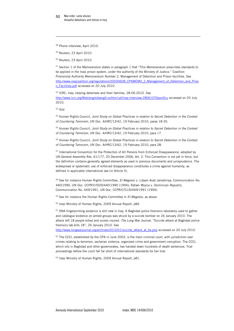48 Phone interview, April 2010.

49 Reuters, 23 April 2010.

50 Reuters, 23 April 2010.

<sup>51</sup> Section 1 of the Memorandum states in paragraph 1 that "This Memorandum prescribes standards to be applied in the Iraqi prison system, under the authority of the Ministry of Justice." Coalition Provisional Authority Memorandum Number 2, Management of Detention and Prison facilities. See [http://www.iraqcoalition.org/regulations/20030608\\_CPAMEMO\\_2\\_Management\\_of\\_Detention\\_and\\_Priso](http://www.iraqcoalition.org/regulations/20030608_CPAMEMO_2_Management_of_Detention_and_Prison_Facilities.pdf) [n\\_Facilities.pdf](http://www.iraqcoalition.org/regulations/20030608_CPAMEMO_2_Management_of_Detention_and_Prison_Facilities.pdf) accessed on 20 July 2010.

52 ICRC, Iraq: helping detainees and their families, 28-06-2010. See <http://www.icrc.org/Web/eng/siteeng0.ns/htm1all/iraq-interview-280610?OpenDcu>accessed on 20 July 2010.

53 Ibid

-

54 Human Rights Council*, Joint Study on Global Practices in relation to Secret Detention in the Context of Countering Terrorism*, UN Doc. A/HRC/13/42, 19 February 2010, paras 18-35.

55 Human Rights Council*, Joint Study on Global Practices in relation to Secret Detention in the Context of Countering Terrorism*, UN Doc. A/HRC/13/42, 19 February 2010, para 17.

56 Human Rights Council*, Joint Study on Global Practices in relation to Secret Detention in the Context of Countering Terrorism*, UN Doc. A/HRC/13/42, 19 February 2010, para 28.

57 International Convention for the Protection of All Persons from Enforced Disappearance, adopted by UN General Assembly Res. 61/177, 20 December 2006, Art. 2. This Convention is not yet in force, but the definition contains generally agreed elements as used in previous documents and jurisprudence. The widespread or systematic use of enforced disappearance constitutes a crime against humanity, as defined in applicable international law (in Article 5).

58 See for instance Human Rights Committee, *El-Megreisi v. Libyan Arab Jamahiriya,* Communication No. 440/1990, UN Doc. CCPR/C/50/D/440/1990 (1994); Rafael *Mojica v. Dominican Republic,* Communication No. 449/1991, UN Doc. CCPR/C/51/D/449/1991 (1994).

59 See for instance the Human Rights Committee in *El-Megreisi*, as above*.*

60 Iraqi Ministry of Human Rights, 2009 Annual Report, p84.

<sup>61</sup> DNA fingerprinting evidence is still new in Iraq. A Baghdad police forensics laboratory used to gather and catalogue evidence on armed groups was struck by a suicide bomber on 26 January 2010. The attack left 18 people killed and scores injured. *The Long War Journal,* "Suicide attack at Baghdad police forensics lab kills 18", 26 January 2010. See

[http://www.longwarjournal.org/archives/2010/01/suicide\\_attack\\_at\\_ba.php](http://www.longwarjournal.org/archives/2010/01/suicide_attack_at_ba.php) accessed on 20 July 2010.

 $62$  The CCCI, established by the CPA in June 2003, is the main criminal court, with jurisdiction over crimes relating to terrorism, sectarian violence, organized crime and government corruption. The CCCI, which sits in Baghdad and other governorates, has handed down hundreds of death sentences. Trial proceedings before the court fall far short of international standards for fair trial.

63 Iraqi Ministry of Human Rights, 2009 Annual Report, p81.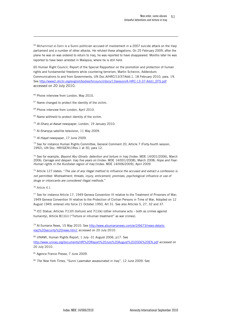<sup>64</sup> Mohammad al-Daini is a Sunni politician accused of involvement in a 2007 suicide attack on the Iraqi parliament and a number of other attacks. He refuted these allegations. On 25 February 2009, after the plane he was on was ordered to return to Iraq, he was reported to have disappeared. Months later he was reported to have been arrested in Malaysia, where he is still held.

65 Human Right Council, Report of the Special Rapporteur on the promotion and protection of human rights and fundamental freedoms while countering terrorism, Martin Scheinin, Addendum: Communications to and from Governments, UN Doc.A/HRC/13/37/Add.1, 18 February 2010, para. 19. See [http://www2.ohchr.org/english/bodies/hrcouncil/docs/13session/A-HRC-13-37-Add1\\_EFS.pdf](http://www2.ohchr.org/english/bodies/hrcouncil/docs/13session/A-HRC-13-37-Add1_EFS.pdf) accessed on 20 July 2010.

66 Phone interview from London, May 2010.

 $67$  Name changed to protect the identity of the victim.

- 68 Phone interview from London, April 2010.
- <sup>69</sup> Name withheld to protect identity of the victim.
- <sup>70</sup> *Al-Sharq al-Awsat* newspaper, London, 19 January 2010.
- 71 Al-Sharqiya satellite television, 11 May 2009.

<sup>72</sup> *Al-Hayat* newspaper, 17 June 2009.

<sup>73</sup> See for instance Human Rights Committee, General Comment 20, Article 7 (Forty-fourth session, 1992), UN Doc. HRI\GEN\1\Rev.1 at 30, para 12.

74 See for example, *Beyond Abu Ghraib: detention and torture in Iraq* (Index: MDE 14/001/2006), March 2006; *Carnage and despair: Iraq five years on* (Index: MDE 14/001/2008), March 2008; *Hope and Fear: Human rights in the Kurdistan region of Iraq* (Index: MDE 14/006/2009), April 2009.

75 Article 127 states: "*The use of any illegal method to influence the accused and extract a confession is not permitted. Mistreatment, threats, injury, enticement, promises, psychological influence or use of drugs or intoxicants are considered illegal methods*."

<sup>76</sup> Article 4.1.

-

<sup>77</sup> See for instance Article 17, 1949 Geneva Convention III relative to the Treatment of Prisoners of War; 1949 Geneva Convention IV relative to the Protection of Civilian Persons in Time of War, Adopted on 12 August 1949, entered into force 21 October 1950, Art 31. See also Articles 5, 27, 32 and 37.

 $78$  ICC Statue, Articles 7(1)(f) (torture) and 7(1)(k) (other inhumane acts – both as crimes against humanity), Article 8(1)(ii) ("Torture or inhuman treatment" as war crimes).

<sup>79</sup> Al-Sumaria News, 15 May 2010. See [http://www.alsumarianews.com/ar/2/6673/news-details](http://www.alsumarianews.com/ar/2/6673/news-details-iraq%20security%20news.htm1)[iraq%20security%20news.htm1](http://www.alsumarianews.com/ar/2/6673/news-details-iraq%20security%20news.htm1) accessed on 20 July 2010.

80 UNAMI, Human Rights Report, 1 July -31 August 2006, p17. See <http://www.uniraq.org/documents/HR%20Report%20July%20August%202006%20EN.pdf> accessed on 20 July 2010.

81 Agence France Presse, 7 June 2009.

<sup>82</sup> *The New York Times*, "Sunni Lawmaker assassinated in Iraq", 12 June 2009. See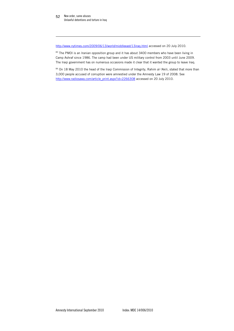-

<http://www.nytimes.com/2009/06/13/world/middleeast/13iraq.html> accessed on 20 July 2010.

83 The PMOI is an Iranian opposition group and it has about 3400 members who have been living in Camp Ashraf since 1986. The camp had been under US military control from 2003 until June 2009. The Iraqi government has on numerous occasions made it clear that it wanted the group to leave Iraq.

84 On 18 May 2010 the head of the Iraqi Commission of Integrity, Rahim al-'Akili, stated that more than 3,000 people accused of corruption were amnestied under the Amnesty Law 19 of 2008. See [http://www.radiosawa.com/article\\_print.aspx?id=2266308](http://www.radiosawa.com/article_print.aspx?id=2266308) accessed on 20 July 2010.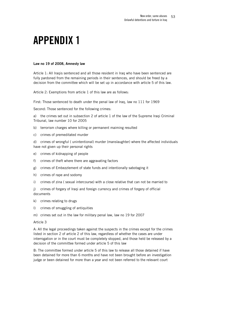# <span id="page-52-0"></span>APPENDIX 1

### Law no 19 of 2008, Amnesty law

Article 1: All Iraqis sentenced and all those resident in Iraq who have been sentenced are fully pardoned from the remaining periods in their sentences, and should be freed by a decision from the committee which will be set up in accordance with article 5 of this law.

Article 2: Exemptions from article 1 of this law are as follows:

First: Those sentenced to death under the penal law of Iraq, law no 111 for 1969

Second: Those sentenced for the following crimes:

a) the crimes set out in subsection 2 of article 1 of the law of the Supreme Iraqi Criminal Tribunal, law number 10 for 2005

- b) terrorism charges where killing or permanent maiming resulted
- c) crimes of premeditated murder

d) crimes of wrongful ( unintentional) murder (manslaughter) where the affected individuals have not given up their personal rights

- e) crimes of kidnapping of people
- f) crimes of theft where there are aggravating factors
- g) crimes of Embezzlement of state funds and intentionally sabotaging it
- h) crimes of rape and sodomy
- i) crimes of zina ( sexual intercourse) with a close relative that can not be married to

j) crimes of forgery of Iraqi and foreign currency and crimes of forgery of official documents

- k) crimes relating to drugs
- l) crimes of smuggling of antiquities
- m) crimes set out in the law for military penal law, law no 19 for 2007

### Article 3

A: All the legal proceedings taken against the suspects in the crimes except for the crimes listed in section 2 of article 2 of this law, regardless of whether the cases are under interrogation or in the court must be completely stopped, and those held be released by a decision of the committee formed under article 5 of this law

B: The committee formed under article 5 of this law to release all those detained if have been detained for more than 6 months and have not been brought before an investigation judge or been detained for more than a year and not been referred to the relevant court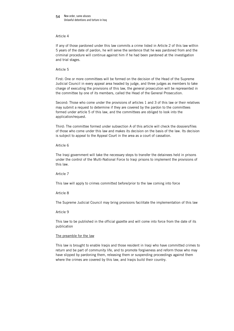#### New order, same abuses Unlawful detentions and torture in Iraq 54

### Article 4

If any of those pardoned under this law commits a crime listed in Article 2 of this law within 5 years of the date of pardon, he will serve the sentence that he was pardoned from and the criminal procedure will continue against him if he had been pardoned at the investigation and trial stages.

### Article 5

First: One or more committees will be formed on the decision of the Head of the Supreme Judicial Council in every appeal area headed by judge, and three judges as members to take charge of executing the provisions of this law, the general prosecution will be represented in the committee by one of its members, called the Head of the General Prosecution.

Second: Those who come under the provisions of articles 1 and 3 of this law or their relatives may submit a request to determine if they are covered by the pardon to the committees formed under article 5 of this law, and the committees are obliged to look into the application/request.

Third: The committee formed under subsection A of this article will check the dossiers/files of those who come under this law and makes its decision on the basis of the law. Its decision is subject to appeal to the Appeal Court in the area as a court of cassation.

### Article 6

The Iraqi government will take the necessary steps to transfer the detainees held in prisons under the control of the Multi-National Force to Iraqi prisons to implement the provisions of this law.

#### Article 7

This law will apply to crimes committed before/prior to the law coming into force

### Article 8

The Supreme Judicial Council may bring provisions facilitate the implementation of this law

#### Article 9

This law to be published in the official gazette and will come into force from the date of its publication

#### The preamble for the law

This law is brought to enable Iraqis and those resident in Iraqi who have committed crimes to return and be part of community life, and to promote forgiveness and reform those who may have slipped by pardoning them, releasing them or suspending proceedings against them where the crimes are covered by this law, and Iraqis build their country.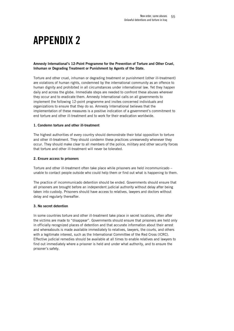# <span id="page-54-0"></span>APPENDIX 2

### Amnesty International's 12-Point Programme for the Prevention of Torture and Other Cruel, Inhuman or Degrading Treatment or Punishment by Agents of the State.

Torture and other cruel, inhuman or degrading treatment or punishment (other ill-treatment) are violations of human rights, condemned by the international community as an offence to human dignity and prohibited in all circumstances under international law. Yet they happen daily and across the globe. Immediate steps are needed to confront these abuses wherever they occur and to eradicate them. Amnesty International calls on all governments to implement the following 12-point programme and invites concerned individuals and organizations to ensure that they do so. Amnesty International believes that the implementation of these measures is a positive indication of a government's commitment to end torture and other ill-treatment and to work for their eradication worldwide.

### 1. Condemn torture and other ill-treatment

The highest authorities of every country should demonstrate their total opposition to torture and other ill-treatment. They should condemn these practices unreservedly whenever they occur. They should make clear to all members of the police, military and other security forces that torture and other ill-treatment will never be tolerated.

### 2. Ensure access to prisoners

Torture and other ill-treatment often take place while prisoners are held incommunicado – unable to contact people outside who could help them or find out what is happening to them.

The practice of incommunicado detention should be ended. Governments should ensure that all prisoners are brought before an independent judicial authority without delay after being taken into custody. Prisoners should have access to relatives, lawyers and doctors without delay and regularly thereafter.

## 3. No secret detention

In some countries torture and other ill-treatment take place in secret locations, often after the victims are made to "disappear". Governments should ensure that prisoners are held only in officially recognized places of detention and that accurate information about their arrest and whereabouts is made available immediately to relatives, lawyers, the courts, and others with a legitimate interest, such as the International Committee of the Red Cross (ICRC). Effective judicial remedies should be available at all times to enable relatives and lawyers to find out immediately where a prisoner is held and under what authority, and to ensure the prisoner's safety.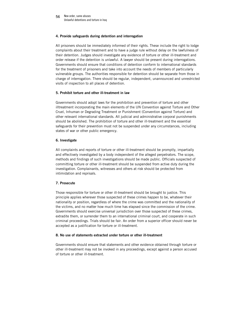### 4. Provide safeguards during detention and interrogation

All prisoners should be immediately informed of their rights. These include the right to lodge complaints about their treatment and to have a judge rule without delay on the lawfulness of their detention. Judges should investigate any evidence of torture or other ill-treatment and order release if the detention is unlawful. A lawyer should be present during interrogations. Governments should ensure that conditions of detention conform to international standards for the treatment of prisoners and take into account the needs of members of particularly vulnerable groups. The authorities responsible for detention should be separate from those in charge of interrogation. There should be regular, independent, unannounced and unrestricted visits of inspection to all places of detention.

### 5. Prohibit torture and other ill-treatment in law

Governments should adopt laws for the prohibition and prevention of torture and other illtreatment incorporating the main elements of the UN Convention against Torture and Other Cruel, Inhuman or Degrading Treatment or Punishment (Convention against Torture) and other relevant international standards. All judicial and administrative corporal punishments should be abolished. The prohibition of torture and other ill-treatment and the essential safeguards for their prevention must not be suspended under any circumstances, including states of war or other public emergency.

### 6. Investigate

All complaints and reports of torture or other ill-treatment should be promptly, impartially and effectively investigated by a body independent of the alleged perpetrators. The scope, methods and findings of such investigations should be made public. Officials suspected of committing torture or other ill-treatment should be suspended from active duty during the investigation. Complainants, witnesses and others at risk should be protected from intimidation and reprisals.

### 7. Prosecute

Those responsible for torture or other ill-treatment should be brought to justice. This principle applies wherever those suspected of these crimes happen to be, whatever their nationality or position, regardless of where the crime was committed and the nationality of the victims, and no matter how much time has elapsed since the commission of the crime. Governments should exercise universal jurisdiction over those suspected of these crimes, extradite them, or surrender them to an international criminal court, and cooperate in such criminal proceedings. Trials should be fair. An order from a superior officer should never be accepted as a justification for torture or ill-treatment.

#### 8. No use of statements extracted under torture or other ill-treatment

Governments should ensure that statements and other evidence obtained through torture or other ill-treatment may not be invoked in any proceedings, except against a person accused of torture or other ill-treatment.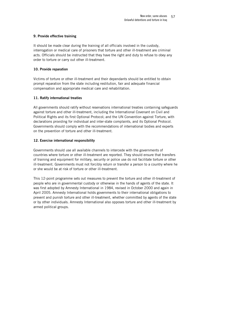### 9. Provide effective training

It should be made clear during the training of all officials involved in the custody, interrogation or medical care of prisoners that torture and other ill-treatment are criminal acts. Officials should be instructed that they have the right and duty to refuse to obey any order to torture or carry out other ill-treatment.

### 10. Provide reparation

Victims of torture or other ill-treatment and their dependants should be entitled to obtain prompt reparation from the state including restitution, fair and adequate financial compensation and appropriate medical care and rehabilitation.

## 11. Ratify international treaties

All governments should ratify without reservations international treaties containing safeguards against torture and other ill-treatment, including the International Covenant on Civil and Political Rights and its first Optional Protocol; and the UN Convention against Torture, with declarations providing for individual and inter-state complaints, and its Optional Protocol. Governments should comply with the recommendations of international bodies and experts on the prevention of torture and other ill-treatment.

## 12. Exercise international responsibility

Governments should use all available channels to intercede with the governments of countries where torture or other ill-treatment are reported. They should ensure that transfers of training and equipment for military, security or police use do not facilitate torture or other ill-treatment. Governments must not forcibly return or transfer a person to a country where he or she would be at risk of torture or other ill-treatment.

This 12-point programme sets out measures to prevent the torture and other ill-treatment of people who are in governmental custody or otherwise in the hands of agents of the state. It was first adopted by Amnesty International in 1984, revised in October 2000 and again in April 2005. Amnesty International holds governments to their international obligations to prevent and punish torture and other ill-treatment, whether committed by agents of the state or by other individuals. Amnesty International also opposes torture and other ill-treatment by armed political groups.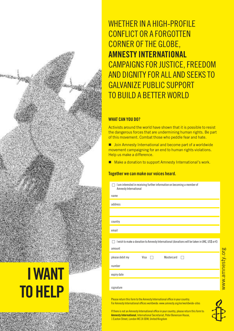WHETHER IN A HIGH-PROFILE CONFLICT OR A FORGOTTEN CORNER OF THE GLOBE, **AMNESty iNtERNAtiONAl** CAMPAIGNS FOR JUSTICE, FREEDOM AnD DIgnIty for ALL AnD SEEKS to gALvAnIzE PUBLIC SUPPort to BUILD A BEttEr WorLD

# **WHAt CAN yOU DO?**

Activists around the world have shown that it is possible to resist the dangerous forces that are undermining human rights. Be part of this movement. Combat those who peddle fear and hate.

■ Join Amnesty International and become part of a worldwide movement campaigning for an end to human rights violations. Help us make a difference.

■ Make a donation to support Amnesty International's work.

# **together we canmake ourvoices heard.**

| I am interested in receiving further information on becoming a member of<br>Amnesty International |
|---------------------------------------------------------------------------------------------------|
| name                                                                                              |
| address                                                                                           |
|                                                                                                   |
| country                                                                                           |
| email                                                                                             |
|                                                                                                   |
| I wish to make a donation to Amnesty International (donations will be taken in UK£, US\$ or €)    |
| amount                                                                                            |
| please debit my<br>Visa<br>Mastercard                                                             |
| number                                                                                            |
| expiry date                                                                                       |
| signature                                                                                         |

Please return this form to the Amnesty International office in your country. For Amnesty International offices worldwide: www.amnesty.org/en/worldwide-sites

If there is not an Amnesty International office in your country, please return this form to: **Amnesty International**, International Secretariat, Peter Benenson House, 1 Easton Street, London WC1X 0DW, United Kingdom



# **iWANt tOHElP**